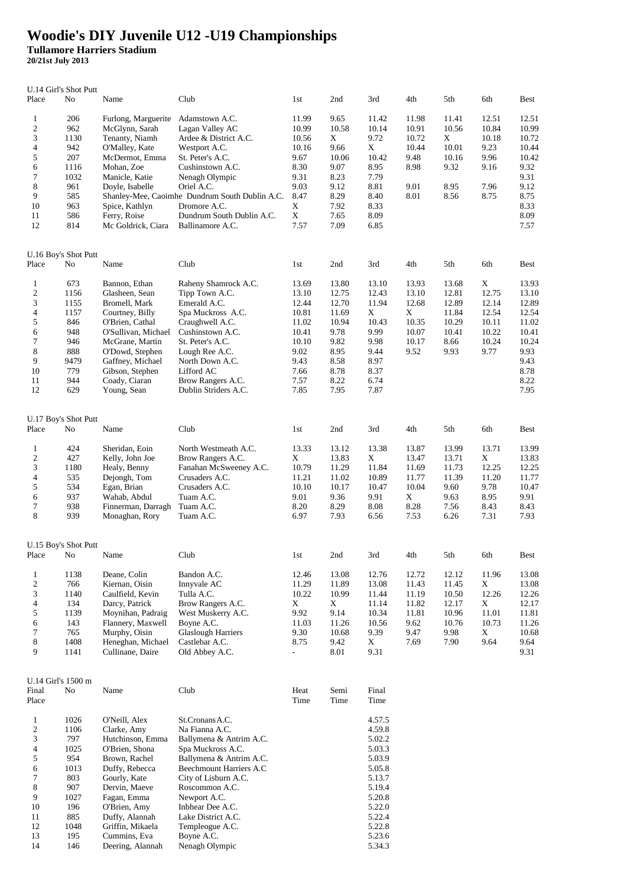## **Woodie's DIY Juvenile U12 -U19 Championships**

**Tullamore Harriers Stadium**

**20/21st July 2013**

| Place                    | U.14 Girl's Shot Putt<br>No |                     |                                                |       |             |        |             |       |       | <b>Best</b> |
|--------------------------|-----------------------------|---------------------|------------------------------------------------|-------|-------------|--------|-------------|-------|-------|-------------|
|                          |                             | Name                | Club                                           | 1st   | 2nd         | 3rd    | 4th         | 5th   | 6th   |             |
| $\mathbf{1}$             | 206                         | Furlong, Marguerite | Adamstown A.C.                                 | 11.99 | 9.65        | 11.42  | 11.98       | 11.41 | 12.51 | 12.51       |
| $\sqrt{2}$               | 962                         | McGlynn, Sarah      | Lagan Valley AC                                | 10.99 | 10.58       | 10.14  | 10.91       | 10.56 | 10.84 | 10.99       |
| 3                        | 1130                        | Tenanty, Niamh      | Ardee & District A.C.                          | 10.56 | X           | 9.72   | 10.72       | X     | 10.18 | 10.72       |
| $\overline{\mathcal{L}}$ | 942                         | O'Malley, Kate      | Westport A.C.                                  | 10.16 | 9.66        | X      | 10.44       | 10.01 | 9.23  | 10.44       |
| 5                        | 207                         | McDermot, Emma      | St. Peter's A.C.                               | 9.67  | 10.06       | 10.42  | 9.48        | 10.16 | 9.96  | 10.42       |
| 6                        | 1116                        | Mohan, Zoe          | Cushinstown A.C.                               | 8.30  | 9.07        | 8.95   | 8.98        | 9.32  | 9.16  | 9.32        |
| 7                        | 1032                        | Manicle, Katie      | Nenagh Olympic                                 | 9.31  | 8.23        | 7.79   |             |       |       | 9.31        |
|                          |                             |                     |                                                |       |             |        |             |       |       |             |
| $\,$ 8 $\,$              | 961                         | Doyle, Isabelle     | Oriel A.C.                                     | 9.03  | 9.12        | 8.81   | 9.01        | 8.95  | 7.96  | 9.12        |
| 9                        | 585                         |                     | Shanley-Mee, Caoimhe Dundrum South Dublin A.C. | 8.47  | 8.29        | 8.40   | 8.01        | 8.56  | 8.75  | 8.75        |
| 10                       | 963                         | Spice, Kathlyn      | Dromore A.C.                                   | X     | 7.92        | 8.33   |             |       |       | 8.33        |
| 11                       | 586                         | Ferry, Roise        | Dundrum South Dublin A.C.                      | X     | 7.65        | 8.09   |             |       |       | 8.09        |
| 12                       | 814                         | Mc Goldrick, Ciara  | Ballinamore A.C.                               | 7.57  | 7.09        | 6.85   |             |       |       | 7.57        |
|                          |                             |                     |                                                |       |             |        |             |       |       |             |
|                          | U.16 Boy's Shot Putt        |                     |                                                |       |             |        |             |       |       |             |
| Place                    | No                          | Name                | Club                                           | 1st   | 2nd         | 3rd    | 4th         | 5th   | 6th   | Best        |
|                          |                             |                     |                                                |       |             |        |             |       |       |             |
| $\mathbf{1}$             | 673                         | Bannon, Ethan       | Raheny Shamrock A.C.                           | 13.69 | 13.80       | 13.10  | 13.93       | 13.68 | X     | 13.93       |
| $\sqrt{2}$               | 1156                        | Glasheen, Sean      | Tipp Town A.C.                                 | 13.10 | 12.75       | 12.43  | 13.10       | 12.81 | 12.75 | 13.10       |
| 3                        | 1155                        | Bromell, Mark       | Emerald A.C.                                   | 12.44 | 12.70       | 11.94  | 12.68       | 12.89 | 12.14 | 12.89       |
| $\overline{\mathcal{L}}$ | 1157                        | Courtney, Billy     | Spa Muckross A.C.                              | 10.81 | 11.69       | X      | X           | 11.84 | 12.54 | 12.54       |
| 5                        | 846                         | O'Brien, Cathal     | Craughwell A.C.                                | 11.02 | 10.94       | 10.43  | 10.35       | 10.29 | 10.11 | 11.02       |
| 6                        | 948                         | O'Sullivan, Michael | Cushinstown A.C.                               | 10.41 | 9.78        | 9.99   | 10.07       | 10.41 | 10.22 | 10.41       |
| $\boldsymbol{7}$         | 946                         | McGrane, Martin     | St. Peter's A.C.                               | 10.10 | 9.82        | 9.98   | 10.17       | 8.66  | 10.24 | 10.24       |
| 8                        | 888                         | O'Dowd, Stephen     | Lough Ree A.C.                                 | 9.02  | 8.95        | 9.44   | 9.52        | 9.93  | 9.77  | 9.93        |
|                          |                             |                     | North Down A.C.                                |       |             |        |             |       |       |             |
| 9                        | 9479                        | Gaffney, Michael    |                                                | 9.43  | 8.58        | 8.97   |             |       |       | 9.43        |
| 10                       | 779                         | Gibson, Stephen     | Lifford AC                                     | 7.66  | 8.78        | 8.37   |             |       |       | 8.78        |
| 11                       | 944                         | Coady, Ciaran       | Brow Rangers A.C.                              | 7.57  | 8.22        | 6.74   |             |       |       | 8.22        |
| 12                       | 629                         | Young, Sean         | Dublin Striders A.C.                           | 7.85  | 7.95        | 7.87   |             |       |       | 7.95        |
|                          |                             |                     |                                                |       |             |        |             |       |       |             |
|                          | U.17 Boy's Shot Putt        |                     |                                                |       |             |        |             |       |       |             |
| Place                    | No                          | Name                | Club                                           | 1st   | 2nd         | 3rd    | 4th         | 5th   | 6th   | Best        |
|                          |                             |                     |                                                |       |             |        |             |       |       |             |
| $\mathbf{1}$             | 424                         | Sheridan, Eoin      | North Westmeath A.C.                           | 13.33 | 13.12       | 13.38  | 13.87       | 13.99 | 13.71 | 13.99       |
| $\overline{c}$           | 427                         | Kelly, John Joe     | Brow Rangers A.C.                              | X     | 13.83       | X      | 13.47       | 13.71 | X     | 13.83       |
| 3                        | 1180                        | Healy, Benny        | Fanahan McSweeney A.C.                         | 10.79 | 11.29       | 11.84  | 11.69       | 11.73 | 12.25 | 12.25       |
| $\overline{\mathcal{L}}$ | 535                         | Dejongh, Tom        | Crusaders A.C.                                 | 11.21 | 11.02       | 10.89  | 11.77       | 11.39 | 11.20 | 11.77       |
|                          |                             |                     |                                                |       | 10.17       |        |             | 9.60  | 9.78  | 10.47       |
| $\sqrt{5}$               | 534                         | Egan, Brian         | Crusaders A.C.                                 | 10.10 |             | 10.47  | 10.04       |       |       |             |
| 6                        | 937                         | Wahab, Abdul        | Tuam A.C.                                      | 9.01  | 9.36        | 9.91   | $\mathbf X$ | 9.63  | 8.95  | 9.91        |
| 7                        | 938                         | Finnerman, Darragh  | Tuam A.C.                                      | 8.20  | 8.29        | 8.08   | 8.28        | 7.56  | 8.43  | 8.43        |
| 8                        | 939                         | Monaghan, Rory      | Tuam A.C.                                      | 6.97  | 7.93        | 6.56   | 7.53        | 6.26  | 7.31  | 7.93        |
|                          |                             |                     |                                                |       |             |        |             |       |       |             |
|                          | U.15 Boy's Shot Putt        |                     |                                                |       |             |        |             |       |       |             |
| Place                    | No                          | Name                | Club                                           | 1st   | 2nd         | 3rd    | 4th         | 5th   | 6th   | Best        |
|                          |                             |                     |                                                |       |             |        |             |       |       |             |
| $\mathbf{1}$             | 1138                        | Deane, Colin        | Bandon A.C.                                    | 12.46 | 13.08       | 12.76  | 12.72       | 12.12 | 11.96 | 13.08       |
| $\sqrt{2}$               | 766                         | Kiernan, Oisin      | Innyvale AC                                    | 11.29 | 11.89       | 13.08  | 11.43       | 11.45 | X     | 13.08       |
| 3                        | 1140                        | Caulfield, Kevin    | Tulla A.C.                                     | 10.22 | 10.99       | 11.44  | 11.19       | 10.50 | 12.26 | 12.26       |
| $\overline{4}$           | 134                         | Darcy, Patrick      | Brow Rangers A.C.                              | X     | $\mathbf X$ | 11.14  | 11.82       | 12.17 | X     | 12.17       |
| 5                        | 1139                        | Moynihan, Padraig   | West Muskerry A.C.                             | 9.92  | 9.14        | 10.34  | 11.81       | 10.96 | 11.01 | 11.81       |
| 6                        | 143                         | Flannery, Maxwell   | Boyne A.C.                                     | 11.03 | 11.26       | 10.56  | 9.62        | 10.76 | 10.73 | 11.26       |
| $\boldsymbol{7}$         | 765                         | Murphy, Oisin       | <b>Glaslough Harriers</b>                      | 9.30  | 10.68       | 9.39   | 9.47        | 9.98  | X     | 10.68       |
| $\,8\,$                  | 1408                        | Heneghan, Michael   | Castlebar A.C.                                 | 8.75  | 9.42        | X      | 7.69        | 7.90  | 9.64  | 9.64        |
| 9                        | 1141                        | Cullinane, Daire    | Old Abbey A.C.                                 | ÷,    | 8.01        | 9.31   |             |       |       | 9.31        |
|                          |                             |                     |                                                |       |             |        |             |       |       |             |
|                          |                             |                     |                                                |       |             |        |             |       |       |             |
|                          | U.14 Girl's 1500 m          |                     |                                                |       |             |        |             |       |       |             |
| Final                    | No                          | Name                | Club                                           | Heat  | Semi        | Final  |             |       |       |             |
| Place                    |                             |                     |                                                | Time  | Time        | Time   |             |       |       |             |
|                          |                             |                     |                                                |       |             |        |             |       |       |             |
| $\mathbf{1}$             | 1026                        | O'Neill, Alex       | St.Cronans A.C.                                |       |             | 4.57.5 |             |       |       |             |
| $\sqrt{2}$               | 1106                        | Clarke, Amy         | Na Fianna A.C.                                 |       |             | 4.59.8 |             |       |       |             |
| 3                        | 797                         | Hutchinson, Emma    | Ballymena & Antrim A.C.                        |       |             | 5.02.2 |             |       |       |             |
| $\overline{4}$           | 1025                        | O'Brien, Shona      | Spa Muckross A.C.                              |       |             | 5.03.3 |             |       |       |             |
| 5                        | 954                         | Brown, Rachel       | Ballymena & Antrim A.C.                        |       |             | 5.03.9 |             |       |       |             |
| 6                        | 1013                        | Duffy, Rebecca      | Beechmount Harriers A.C                        |       |             | 5.05.8 |             |       |       |             |
| 7                        | 803                         | Gourly, Kate        | City of Lisburn A.C.                           |       |             | 5.13.7 |             |       |       |             |
| $\,$ 8 $\,$              | 907                         | Dervin, Maeve       | Roscommon A.C.                                 |       |             | 5.19.4 |             |       |       |             |
| 9                        | 1027                        | Fagan, Emma         | Newport A.C.                                   |       |             | 5.20.8 |             |       |       |             |
| $10\,$                   | 196                         | O'Brien, Amy        | Inbhear Dee A.C.                               |       |             | 5.22.0 |             |       |       |             |
| 11                       | 885                         | Duffy, Alannah      | Lake District A.C.                             |       |             | 5.22.4 |             |       |       |             |
| $12\,$                   | 1048                        | Griffin, Mikaela    | Templeogue A.C.                                |       |             | 5.22.8 |             |       |       |             |
| 13                       | 195                         | Cummins, Eva        | Boyne A.C.                                     |       |             | 5.23.6 |             |       |       |             |
| 14                       | 146                         | Deering, Alannah    | Nenagh Olympic                                 |       |             | 5.34.3 |             |       |       |             |
|                          |                             |                     |                                                |       |             |        |             |       |       |             |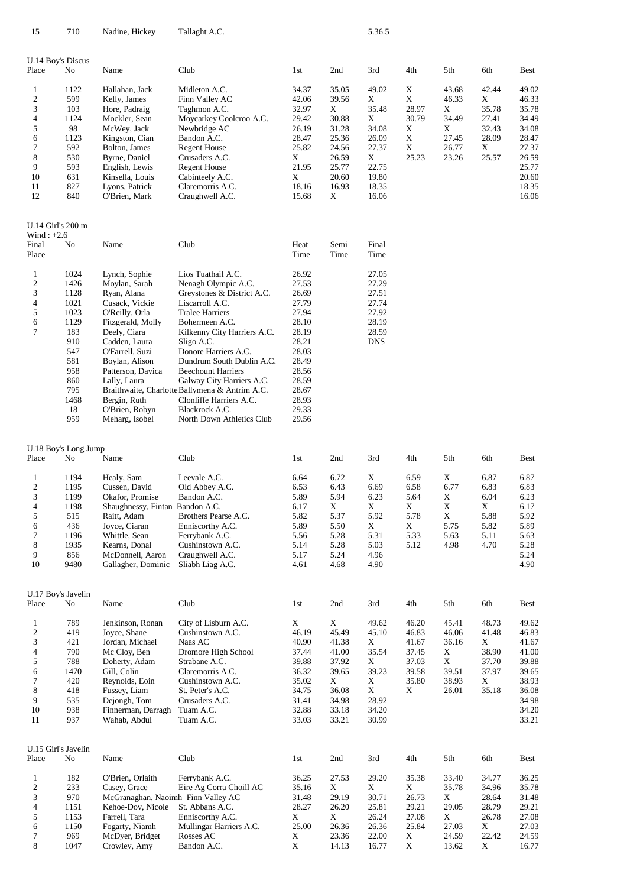| 15               | 710                      | Nadine, Hickey                     | Tallaght A.C.                                  |                |                     | 5.36.5         |             |                            |                     |                |
|------------------|--------------------------|------------------------------------|------------------------------------------------|----------------|---------------------|----------------|-------------|----------------------------|---------------------|----------------|
|                  | U.14 Boy's Discus        |                                    |                                                |                |                     |                |             |                            |                     |                |
| Place            | No                       | Name                               | Club                                           | 1st            | 2nd                 | 3rd            | 4th         | 5th                        | 6th                 | Best           |
| 1                | 1122                     | Hallahan, Jack                     | Midleton A.C.                                  | 34.37          | 35.05               | 49.02          | X           | 43.68                      | 42.44               | 49.02          |
| 2                | 599                      | Kelly, James                       | Finn Valley AC                                 | 42.06          | 39.56               | X              | $\mathbf X$ | 46.33                      | X                   | 46.33          |
| 3                | 103                      | Hore, Padraig                      | Taghmon A.C.                                   | 32.97          | X                   | 35.48          | 28.97       | X                          | 35.78               | 35.78          |
| 4                | 1124                     | Mockler, Sean                      | Moycarkey Coolcroo A.C.                        | 29.42          | 30.88               | X              | 30.79       | 34.49                      | 27.41               | 34.49          |
| 5                | 98                       | McWey, Jack                        | Newbridge AC                                   | 26.19          | 31.28               | 34.08          | X           | X                          | 32.43               | 34.08          |
| 6                | 1123                     | Kingston, Cian                     | Bandon A.C.                                    | 28.47          | 25.36               | 26.09          | X           | 27.45                      | 28.09               | 28.47          |
| 7                | 592                      | Bolton, James                      | <b>Regent House</b>                            | 25.82          | 24.56               | 27.37          | X           | 26.77                      | X                   | 27.37          |
| 8                | 530                      | Byrne, Daniel                      | Crusaders A.C.                                 | X              | 26.59               | X              | 25.23       | 23.26                      | 25.57               | 26.59          |
| 9                | 593                      | English, Lewis                     | <b>Regent House</b>                            | 21.95          | 25.77               | 22.75          |             |                            |                     | 25.77          |
| 10               | 631                      | Kinsella, Louis                    | Cabinteely A.C.                                | X              | 20.60               | 19.80          |             |                            |                     | 20.60          |
| 11               | 827                      | Lyons, Patrick                     | Claremorris A.C.                               | 18.16          | 16.93               | 18.35          |             |                            |                     | 18.35          |
| 12               | 840                      | O'Brien, Mark                      | Craughwell A.C.                                | 15.68          | X                   | 16.06          |             |                            |                     | 16.06          |
|                  | U.14 Girl's 200 m        |                                    |                                                |                |                     |                |             |                            |                     |                |
| Wind: $+2.6$     |                          |                                    |                                                |                |                     |                |             |                            |                     |                |
| Final            | No                       | Name                               | Club                                           | Heat           | Semi                | Final          |             |                            |                     |                |
| Place            |                          |                                    |                                                | Time           | Time                | Time           |             |                            |                     |                |
| 1                | 1024                     | Lynch, Sophie                      | Lios Tuathail A.C.                             | 26.92          |                     | 27.05          |             |                            |                     |                |
| $\boldsymbol{2}$ | 1426                     | Moylan, Sarah                      | Nenagh Olympic A.C.                            | 27.53          |                     | 27.29          |             |                            |                     |                |
| 3                | 1128                     | Ryan, Alana                        | Greystones & District A.C.                     | 26.69          |                     | 27.51          |             |                            |                     |                |
| 4                | 1021                     | Cusack, Vickie                     | Liscarroll A.C.                                | 27.79          |                     | 27.74          |             |                            |                     |                |
| 5                | 1023                     | O'Reilly, Orla                     | <b>Tralee Harriers</b>                         | 27.94          |                     | 27.92          |             |                            |                     |                |
| 6                | 1129                     | Fitzgerald, Molly                  | Bohermeen A.C.                                 | 28.10          |                     | 28.19          |             |                            |                     |                |
| 7                | 183                      | Deely, Ciara                       | Kilkenny City Harriers A.C.                    | 28.19          |                     | 28.59          |             |                            |                     |                |
|                  | 910                      | Cadden, Laura                      | Sligo A.C.                                     | 28.21          |                     | <b>DNS</b>     |             |                            |                     |                |
|                  | 547                      | O'Farrell, Suzi                    | Donore Harriers A.C.                           | 28.03          |                     |                |             |                            |                     |                |
|                  | 581                      | Boylan, Alison                     | Dundrum South Dublin A.C.                      | 28.49          |                     |                |             |                            |                     |                |
|                  | 958                      | Patterson, Davica                  | <b>Beechount Harriers</b>                      | 28.56          |                     |                |             |                            |                     |                |
|                  | 860                      | Lally, Laura                       | Galway City Harriers A.C.                      | 28.59          |                     |                |             |                            |                     |                |
|                  | 795                      |                                    | Braithwaite, Charlotte Ballymena & Antrim A.C. | 28.67          |                     |                |             |                            |                     |                |
|                  | 1468                     | Bergin, Ruth                       | Clonliffe Harriers A.C.                        | 28.93          |                     |                |             |                            |                     |                |
|                  | 18                       | O'Brien, Robyn                     | Blackrock A.C.                                 | 29.33          |                     |                |             |                            |                     |                |
|                  | 959                      | Meharg, Isobel                     | North Down Athletics Club                      | 29.56          |                     |                |             |                            |                     |                |
|                  | U.18 Boy's Long Jump     |                                    |                                                |                |                     |                |             |                            |                     |                |
| Place            | No                       | Name                               | Club                                           | 1st            | 2nd                 | 3rd            | 4th         | 5th                        | 6th                 | Best           |
|                  |                          |                                    |                                                |                |                     |                |             |                            |                     |                |
| 1                | 1194                     | Healy, Sam                         | Leevale A.C.                                   | 6.64           | 6.72                | X              | 6.59        | X                          | 6.87                | 6.87           |
| 2                | 1195                     | Cussen, David                      | Old Abbey A.C.                                 | 6.53           | 6.43                | 6.69           | 6.58        | 6.77                       | 6.83                | 6.83           |
| 3                | 1199                     | Okafor, Promise                    | Bandon A.C.                                    | 5.89           | 5.94                | 6.23           | 5.64        | X                          | 6.04                | 6.23           |
| 4                | 1198                     | Shaughnessy, Fintan Bandon A.C.    |                                                | 6.17           | $\mathbf X$<br>5.37 | X              | X<br>5.78   | $\mathbf X$<br>$\mathbf X$ | $\mathbf X$<br>5.88 | 6.17           |
| 5<br>6           | 515<br>436               | Raitt, Adam<br>Joyce, Ciaran       | Brothers Pearse A.C.<br>Enniscorthy A.C.       | 5.82<br>5.89   | 5.50                | 5.92<br>X      | X           | 5.75                       | 5.82                | 5.92<br>5.89   |
| 7                | 1196                     | Whittle, Sean                      | Ferrybank A.C.                                 | 5.56           | 5.28                | 5.31           | 5.33        | 5.63                       | 5.11                | 5.63           |
| 8                | 1935                     | Kearns, Donal                      | Cushinstown A.C.                               | 5.14           | 5.28                | 5.03           | 5.12        | 4.98                       | 4.70                | 5.28           |
| 9                | 856                      | McDonnell, Aaron                   | Craughwell A.C.                                | 5.17           | 5.24                | 4.96           |             |                            |                     | 5.24           |
| 10               | 9480                     | Gallagher, Dominic                 | Sliabh Liag A.C.                               | 4.61           | 4.68                | 4.90           |             |                            |                     | 4.90           |
|                  |                          |                                    |                                                |                |                     |                |             |                            |                     |                |
| Place            | U.17 Boy's Javelin<br>No | Name                               | Club                                           | 1st            | 2nd                 | 3rd            | 4th         | 5th                        | 6th                 | Best           |
|                  |                          |                                    |                                                |                |                     |                |             |                            |                     |                |
| 1                | 789                      | Jenkinson, Ronan                   | City of Lisburn A.C.                           | X              | X                   | 49.62          | 46.20       | 45.41                      | 48.73               | 49.62          |
| 2                | 419                      | Joyce, Shane                       | Cushinstown A.C.                               | 46.19          | 45.49               | 45.10          | 46.83       | 46.06                      | 41.48               | 46.83          |
| 3                | 421                      | Jordan, Michael                    | Naas AC                                        | 40.90          | 41.38               | X              | 41.67       | 36.16                      | $\mathbf X$         | 41.67          |
| 4                | 790                      | Mc Cloy, Ben                       | Dromore High School                            | 37.44          | 41.00               | 35.54          | 37.45       | X                          | 38.90               | 41.00          |
| 5                | 788                      | Doherty, Adam                      | Strabane A.C.                                  | 39.88          | 37.92               | X              | 37.03       | X                          | 37.70               | 39.88          |
| 6                | 1470                     | Gill, Colin                        | Claremorris A.C.                               | 36.32          | 39.65               | 39.23          | 39.58       | 39.51                      | 37.97               | 39.65          |
| 7                | 420                      | Reynolds, Eoin                     | Cushinstown A.C.                               | 35.02          | X                   | X              | 35.80       | 38.93                      | X                   | 38.93          |
| 8                | 418                      | Fussey, Liam                       | St. Peter's A.C.                               | 34.75          | 36.08               | X              | X           | 26.01                      | 35.18               | 36.08          |
| 9                | 535                      | Dejongh, Tom                       | Crusaders A.C.                                 | 31.41          | 34.98               | 28.92          |             |                            |                     | 34.98          |
| 10<br>11         | 938<br>937               | Finnerman, Darragh<br>Wahab, Abdul | Tuam A.C.<br>Tuam A.C.                         | 32.88<br>33.03 | 33.18<br>33.21      | 34.20<br>30.99 |             |                            |                     | 34.20<br>33.21 |
|                  |                          |                                    |                                                |                |                     |                |             |                            |                     |                |
|                  | U.15 Girl's Javelin      |                                    |                                                |                |                     |                |             |                            |                     |                |
| Place            | No                       | Name                               | Club                                           | 1st            | 2nd                 | 3rd            | 4th         | 5th                        | 6th                 | Best           |
| $\mathbf{1}$     | 182                      | O'Brien, Orlaith                   | Ferrybank A.C.                                 | 36.25          | 27.53               | 29.20          | 35.38       | 33.40                      | 34.77               | 36.25          |
| $\boldsymbol{2}$ | 233                      | Casey, Grace                       | Eire Ag Corra Choill AC                        | 35.16          | $\mathbf X$         | X              | X           | 35.78                      | 34.96               | 35.78          |
| 3                | 970                      | McGranaghan, Naoimh Finn Valley AC |                                                | 31.48          | 29.19               | 30.71          | 26.73       | X                          | 28.64               | 31.48          |
| 4                | 1151                     | Kehoe-Dov, Nicole                  | St. Abbans A.C.                                | 28.27          | 26.20               | 25.81          | 29.21       | 29.05                      | 28.79               | 29.21          |
| 5                | 1153                     | Farrell, Tara                      | Enniscorthy A.C.                               | X              | X                   | 26.24          | 27.08       | X                          | 26.78               | 27.08          |
| 6                | 1150                     | Fogarty, Niamh                     | Mullingar Harriers A.C.                        | 25.00          | 26.36               | 26.36          | 25.84       | 27.03                      | X                   | 27.03          |
| 7                | 969                      | McDyer, Bridget                    | Rosses AC                                      | X              | 23.36               | 22.00          | X           | 24.59                      | 22.42               | 24.59          |
| 8                | 1047                     | Crowley, Amy                       | Bandon A.C.                                    | $\mathbf X$    | 14.13               | 16.77          | $\mathbf X$ | 13.62                      | X                   | 16.77          |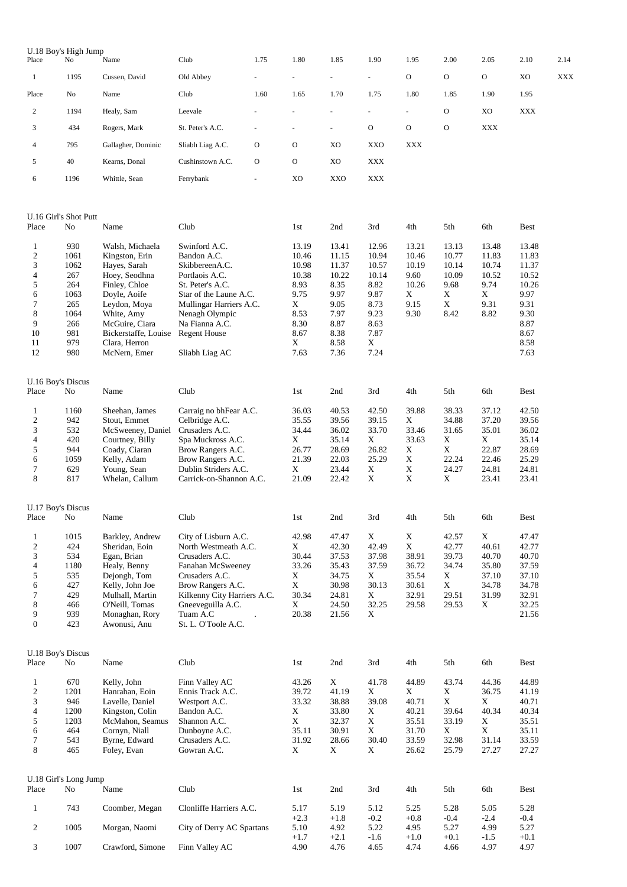| Place                            | U.18 Boy's High Jump<br>No  | Name                                  | Club                                             | 1.75          | 1.80                 | 1.85           | 1.90                 | 1.95                       | 2.00                       | 2.05           | 2.10           | 2.14 |
|----------------------------------|-----------------------------|---------------------------------------|--------------------------------------------------|---------------|----------------------|----------------|----------------------|----------------------------|----------------------------|----------------|----------------|------|
| $\mathbf{1}$                     | 1195                        | Cussen, David                         | Old Abbey                                        |               |                      |                | ÷.                   | $\mathcal{O}$              | $\mathbf O$                | $\mathbf{O}$   | XO             | XXX  |
| Place                            | No                          | Name                                  | Club                                             | 1.60          | 1.65                 | 1.70           | 1.75                 | 1.80                       | 1.85                       | 1.90           | 1.95           |      |
| $\overline{c}$                   | 1194                        | Healy, Sam                            | Leevale                                          |               | ÷,                   |                | ÷.                   |                            | $\mathcal{O}$              | XO             | <b>XXX</b>     |      |
|                                  |                             |                                       |                                                  |               |                      |                |                      | $\frac{1}{2}$              |                            |                |                |      |
| 3                                | 434                         | Rogers, Mark                          | St. Peter's A.C.                                 |               |                      |                | $\mathbf O$          | $\mathbf O$                | $\mathcal{O}$              | <b>XXX</b>     |                |      |
| 4                                | 795                         | Gallagher, Dominic                    | Sliabh Liag A.C.                                 | $\mathcal{O}$ | $\mathbf{O}$         | XO             | XXO                  | <b>XXX</b>                 |                            |                |                |      |
| 5                                | 40                          | Kearns, Donal                         | Cushinstown A.C.                                 | $\mathbf{O}$  | O                    | XO             | <b>XXX</b>           |                            |                            |                |                |      |
| 6                                | 1196                        | Whittle, Sean                         | Ferrybank                                        |               | XO                   | XXO            | <b>XXX</b>           |                            |                            |                |                |      |
| Place                            | U.16 Girl's Shot Putt<br>No | Name                                  | Club                                             |               | 1st                  | 2nd            | 3rd                  | 4th                        | 5th                        | 6th            | Best           |      |
|                                  |                             |                                       |                                                  |               |                      |                |                      |                            |                            |                |                |      |
| $\mathbf{1}$<br>$\boldsymbol{2}$ | 930<br>1061                 | Walsh, Michaela<br>Kingston, Erin     | Swinford A.C.<br>Bandon A.C.                     |               | 13.19<br>10.46       | 13.41<br>11.15 | 12.96<br>10.94       | 13.21<br>10.46             | 13.13<br>10.77             | 13.48<br>11.83 | 13.48<br>11.83 |      |
| 3                                | 1062                        | Hayes, Sarah                          | SkibbereenA.C.                                   |               | 10.98                | 11.37          | 10.57                | 10.19                      | 10.14                      | 10.74          | 11.37          |      |
| 4                                | 267                         | Hoey, Seodhna                         | Portlaois A.C.                                   |               | 10.38                | 10.22          | 10.14                | 9.60                       | 10.09                      | 10.52          | 10.52          |      |
| 5<br>6                           | 264<br>1063                 | Finley, Chloe<br>Doyle, Aoife         | St. Peter's A.C.<br>Star of the Laune A.C.       |               | 8.93<br>9.75         | 8.35<br>9.97   | 8.82<br>9.87         | 10.26<br>X                 | 9.68<br>X                  | 9.74<br>X      | 10.26<br>9.97  |      |
| 7                                | 265                         | Leydon, Moya                          | Mullingar Harriers A.C.                          |               | X                    | 9.05           | 8.73                 | 9.15                       | $\mathbf X$                | 9.31           | 9.31           |      |
| 8                                | 1064                        | White, Amy                            | Nenagh Olympic                                   |               | 8.53                 | 7.97           | 9.23                 | 9.30                       | 8.42                       | 8.82           | 9.30           |      |
| 9                                | 266                         | McGuire, Ciara                        | Na Fianna A.C.                                   |               | 8.30                 | 8.87           | 8.63                 |                            |                            |                | 8.87           |      |
| 10<br>11                         | 981<br>979                  | Bickerstaffe, Louise<br>Clara, Herron | <b>Regent House</b>                              |               | 8.67<br>X            | 8.38<br>8.58   | 7.87<br>X            |                            |                            |                | 8.67<br>8.58   |      |
| 12                               | 980                         | McNern, Emer                          | Sliabh Liag AC                                   |               | 7.63                 | 7.36           | 7.24                 |                            |                            |                | 7.63           |      |
| U.16 Boy's Discus                |                             |                                       |                                                  |               |                      |                |                      |                            |                            |                |                |      |
| Place                            | No                          | Name                                  | Club                                             |               | 1st                  | 2nd            | 3rd                  | 4th                        | 5th                        | 6th            | Best           |      |
| $\mathbf{1}$                     | 1160                        | Sheehan, James                        | Carraig no bhFear A.C.                           |               | 36.03                | 40.53          | 42.50                | 39.88                      | 38.33                      | 37.12          | 42.50          |      |
| $\mathfrak{2}$<br>3              | 942<br>532                  | Stout, Emmet<br>McSweeney, Daniel     | Celbridge A.C.<br>Crusaders A.C.                 |               | 35.55<br>34.44       | 39.56<br>36.02 | 39.15<br>33.70       | X<br>33.46                 | 34.88<br>31.65             | 37.20<br>35.01 | 39.56<br>36.02 |      |
| 4                                | 420                         | Courtney, Billy                       | Spa Muckross A.C.                                |               | X                    | 35.14          | X                    | 33.63                      | X                          | $\mathbf X$    | 35.14          |      |
| 5                                | 944                         | Coady, Ciaran                         | Brow Rangers A.C.                                |               | 26.77                | 28.69          | 26.82                | $\mathbf X$                | X                          | 22.87          | 28.69          |      |
| 6                                | 1059                        | Kelly, Adam                           | Brow Rangers A.C.                                |               | 21.39                | 22.03          | 25.29                | $\mathbf X$                | 22.24                      | 22.46          | 25.29          |      |
| 7<br>8                           | 629<br>817                  | Young, Sean<br>Whelan, Callum         | Dublin Striders A.C.<br>Carrick-on-Shannon A.C.  |               | $\mathbf X$<br>21.09 | 23.44<br>22.42 | X<br>X               | $\mathbf X$<br>$\mathbf X$ | 24.27<br>X                 | 24.81<br>23.41 | 24.81<br>23.41 |      |
| U.17 Boy's Discus                |                             |                                       |                                                  |               |                      |                |                      |                            |                            |                |                |      |
| Place No                         |                             | $\rm Name$                            | Club                                             |               | 1st                  | 2nd            | 3rd                  | 4th                        | 5th                        | 6th            | Best           |      |
| $\mathbf{1}$                     | 1015                        | Barkley, Andrew                       | City of Lisburn A.C.                             |               | 42.98                | 47.47          | X                    | $\mathbf X$                | 42.57                      | X              | 47.47          |      |
| $\boldsymbol{2}$<br>3            | 424<br>534                  | Sheridan, Eoin<br>Egan, Brian         | North Westmeath A.C.<br>Crusaders A.C.           |               | X<br>30.44           | 42.30<br>37.53 | 42.49<br>37.98       | X<br>38.91                 | 42.77<br>39.73             | 40.61<br>40.70 | 42.77<br>40.70 |      |
| 4                                | 1180                        | Healy, Benny                          | Fanahan McSweeney                                |               | 33.26                | 35.43          | 37.59                | 36.72                      | 34.74                      | 35.80          | 37.59          |      |
| 5                                | 535                         | Dejongh, Tom                          | Crusaders A.C.                                   |               | X                    | 34.75          | X                    | 35.54                      | $\mathbf X$                | 37.10          | 37.10          |      |
| 6                                | 427                         | Kelly, John Joe                       | Brow Rangers A.C.                                |               | X                    | 30.98          | 30.13                | 30.61                      | $\mathbf X$                | 34.78          | 34.78          |      |
| 7<br>8                           | 429<br>466                  | Mulhall, Martin<br>O'Neill, Tomas     | Kilkenny City Harriers A.C.<br>Gneeveguilla A.C. |               | 30.34<br>X           | 24.81<br>24.50 | X<br>32.25           | 32.91<br>29.58             | 29.51<br>29.53             | 31.99<br>X     | 32.91<br>32.25 |      |
| 9                                | 939                         | Monaghan, Rory                        | Tuam A.C                                         |               | 20.38                | 21.56          | X                    |                            |                            |                | 21.56          |      |
| $\boldsymbol{0}$                 | 423                         | Awonusi, Anu                          | St. L. O'Toole A.C.                              |               |                      |                |                      |                            |                            |                |                |      |
| U.18 Boy's Discus                |                             |                                       |                                                  |               |                      |                |                      |                            |                            |                |                |      |
| Place                            | No                          | Name                                  | Club                                             |               | 1st                  | 2nd            | 3rd                  | 4th                        | 5th                        | 6th            | Best           |      |
| $\mathbf{1}$                     | 670                         | Kelly, John                           | Finn Valley AC                                   |               | 43.26                | $\mathbf X$    | 41.78                | 44.89                      | 43.74                      | 44.36          | 44.89          |      |
| $\boldsymbol{2}$<br>3            | 1201<br>946                 | Hanrahan, Eoin<br>Lavelle, Daniel     | Ennis Track A.C.<br>Westport A.C.                |               | 39.72<br>33.32       | 41.19<br>38.88 | $\mathbf X$<br>39.08 | X<br>40.71                 | $\mathbf X$<br>$\mathbf X$ | 36.75<br>X     | 41.19<br>40.71 |      |
| 4                                | 1200                        | Kingston, Colin                       | Bandon A.C.                                      |               | X                    | 33.80          | X                    | 40.21                      | 39.64                      | 40.34          | 40.34          |      |
| 5                                | 1203                        | McMahon, Seamus                       | Shannon A.C.                                     |               | X                    | 32.37          | X                    | 35.51                      | 33.19                      | $\mathbf X$    | 35.51          |      |
| 6                                | 464                         | Cornyn, Niall                         | Dunboyne A.C.                                    |               | 35.11                | 30.91          | X                    | 31.70                      | $\mathbf X$                | X              | 35.11          |      |
| 7<br>8                           | 543<br>465                  | Byrne, Edward<br>Foley, Evan          | Crusaders A.C.<br>Gowran A.C.                    |               | 31.92<br>$\mathbf X$ | 28.66<br>X     | 30.40<br>$\mathbf X$ | 33.59<br>26.62             | 32.98<br>25.79             | 31.14<br>27.27 | 33.59<br>27.27 |      |
|                                  | U.18 Girl's Long Jump       |                                       |                                                  |               |                      |                |                      |                            |                            |                |                |      |
| Place                            | No                          | Name                                  | Club                                             |               | 1st                  | 2nd            | 3rd                  | 4th                        | 5th                        | 6th            | Best           |      |
| $\mathbf{1}$                     | 743                         | Coomber, Megan                        | Clonliffe Harriers A.C.                          |               | 5.17<br>$+2.3$       | 5.19<br>$+1.8$ | 5.12<br>$-0.2$       | 5.25<br>$+0.8$             | 5.28<br>$-0.4$             | 5.05<br>$-2.4$ | 5.28<br>$-0.4$ |      |
| 2                                | 1005                        | Morgan, Naomi                         | City of Derry AC Spartans                        |               | 5.10<br>$+1.7$       | 4.92<br>$+2.1$ | 5.22<br>$-1.6$       | 4.95<br>$+1.0$             | 5.27<br>$+0.1$             | 4.99<br>$-1.5$ | 5.27<br>$+0.1$ |      |
| 3                                | 1007                        | Crawford, Simone                      | Finn Valley AC                                   |               | 4.90                 | 4.76           | 4.65                 | 4.74                       | 4.66                       | 4.97           | 4.97           |      |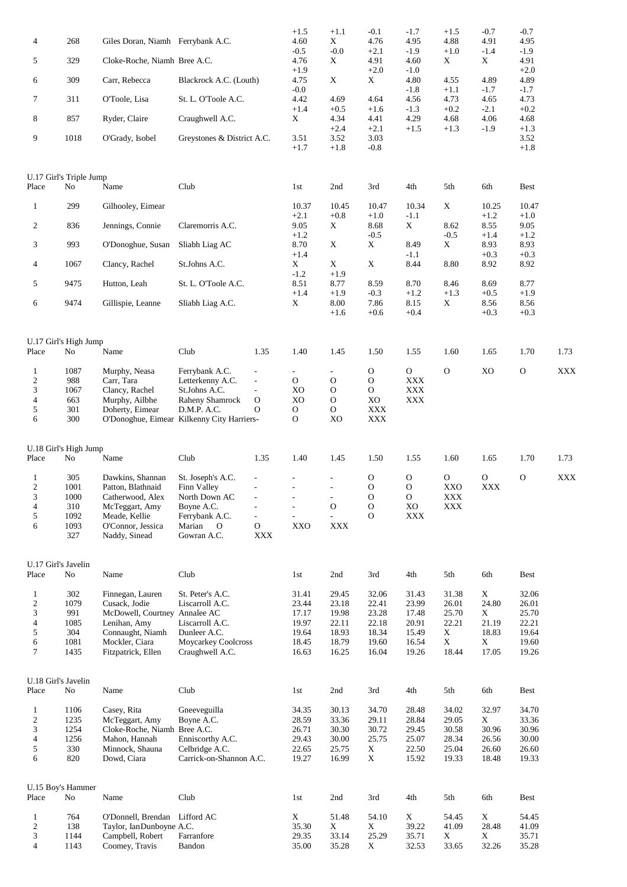| 4                                | 268          | Giles Doran, Niamh Ferrybank A.C.                             |                                            |                                           | $+1.5$<br>4.60                            | $+1.1$<br>X                              | $-0.1$<br>4.76                | $-1.7$<br>4.95           | $+1.5$<br>4.88            | $-0.7$<br>4.91             | $-0.7$<br>4.95           |      |
|----------------------------------|--------------|---------------------------------------------------------------|--------------------------------------------|-------------------------------------------|-------------------------------------------|------------------------------------------|-------------------------------|--------------------------|---------------------------|----------------------------|--------------------------|------|
| 5                                | 329          | Cloke-Roche, Niamh Bree A.C.                                  |                                            |                                           | $-0.5$<br>4.76                            | $-0.0$<br>X                              | $+2.1$<br>4.91                | $-1.9$<br>4.60           | $+1.0$<br>X               | $-1.4$<br>X                | $-1.9$<br>4.91           |      |
| 6                                | 309          | Carr, Rebecca                                                 | Blackrock A.C. (Louth)                     |                                           | $+1.9$<br>4.75                            | $\mathbf X$                              | $+2.0$<br>X                   | $-1.0$<br>4.80           | 4.55                      | 4.89                       | $+2.0$<br>4.89           |      |
| $\tau$                           | 311          | O'Toole, Lisa                                                 | St. L. O'Toole A.C.                        |                                           | $-0.0$<br>4.42                            | 4.69                                     | 4.64                          | $-1.8$<br>4.56           | $+1.1$<br>4.73            | $-1.7$<br>4.65             | $-1.7$<br>4.73           |      |
| 8                                | 857          | Ryder, Claire                                                 | Craughwell A.C.                            |                                           | $+1.4$<br>X                               | $+0.5$<br>4.34                           | $+1.6$<br>4.41                | $-1.3$<br>4.29           | $+0.2$<br>4.68            | $-2.1$<br>4.06             | $+0.2$<br>4.68           |      |
|                                  |              |                                                               |                                            |                                           |                                           | $+2.4$                                   | $+2.1$                        | $+1.5$                   | $+1.3$                    | $-1.9$                     | $+1.3$                   |      |
| 9                                | 1018         | O'Grady, Isobel                                               | Greystones & District A.C.                 |                                           | 3.51<br>$+1.7$                            | 3.52<br>$+1.8$                           | 3.03<br>$-0.8$                |                          |                           |                            | 3.52<br>$+1.8$           |      |
| U.17 Girl's Triple Jump          |              |                                                               |                                            |                                           |                                           |                                          |                               |                          |                           |                            |                          |      |
| Place                            | No           | Name                                                          | Club                                       |                                           | 1st                                       | 2nd                                      | 3rd                           | 4th                      | 5th                       | 6th                        | Best                     |      |
| $\mathbf{1}$                     | 299          | Gilhooley, Eimear                                             |                                            |                                           | 10.37<br>$+2.1$                           | 10.45<br>$+0.8$                          | 10.47<br>$+1.0$               | 10.34<br>$-1.1$          | $\mathbf X$               | 10.25<br>$+1.2$            | 10.47<br>$+1.0$          |      |
| $\overline{c}$                   | 836          | Jennings, Connie                                              | Claremorris A.C.                           |                                           | 9.05<br>$+1.2$                            | X                                        | 8.68<br>$-0.5$                | X                        | 8.62<br>$-0.5$            | 8.55<br>$+1.4$             | 9.05<br>$+1.2$           |      |
| 3                                | 993          | O'Donoghue, Susan                                             | Sliabh Liag AC                             |                                           | 8.70<br>$+1.4$                            | $\mathbf X$                              | X                             | 8.49<br>-1.1             | $\boldsymbol{\mathrm{X}}$ | 8.93<br>$+0.3$             | 8.93<br>$+0.3$           |      |
| 4                                | 1067         | Clancy, Rachel                                                | St.Johns A.C.                              |                                           | X                                         | $\mathbf X$                              | X                             | 8.44                     | 8.80                      | 8.92                       | 8.92                     |      |
| 5                                | 9475         | Hutton, Leah                                                  | St. L. O'Toole A.C.                        |                                           | $-1.2$<br>8.51                            | $+1.9$<br>8.77                           | 8.59                          | 8.70                     | 8.46                      | 8.69                       | 8.77                     |      |
| 6                                | 9474         | Gillispie, Leanne                                             | Sliabh Liag A.C.                           |                                           | $+1.4$<br>X                               | $+1.9$<br>8.00<br>$+1.6$                 | $-0.3$<br>7.86<br>$+0.6$      | $+1.2$<br>8.15<br>$+0.4$ | $+1.3$<br>$\mathbf X$     | $+0.5$<br>8.56<br>$+0.3$   | $+1.9$<br>8.56<br>$+0.3$ |      |
| U.17 Girl's High Jump            |              |                                                               |                                            |                                           |                                           |                                          |                               |                          |                           |                            |                          |      |
| Place                            | No           | Name                                                          | Club                                       | 1.35                                      | 1.40                                      | 1.45                                     | 1.50                          | 1.55                     | 1.60                      | 1.65                       | 1.70                     | 1.73 |
| $\mathbf{1}$<br>2                | 1087<br>988  | Murphy, Neasa<br>Carr, Tara                                   | Ferrybank A.C.<br>Letterkenny A.C.         | $\overline{\phantom{m}}$<br>$\frac{1}{2}$ | $\overline{\phantom{0}}$<br>$\mathcal{O}$ | $\overline{\phantom{a}}$<br>$\mathbf{O}$ | $\mathcal{O}$<br>$\mathbf{O}$ | O<br><b>XXX</b>          | $\mathbf{O}$              | XO                         | $\mathcal{O}$            | XXX  |
| 3                                | 1067         | Clancy, Rachel                                                | St.Johns A.C.                              | $\overline{\phantom{a}}$                  | XO                                        | $\mathbf{O}$                             | $\mathcal{O}$                 | <b>XXX</b>               |                           |                            |                          |      |
| $\overline{\mathcal{L}}$         | 663          | Murphy, Ailbhe                                                | Raheny Shamrock                            | $\mathbf{O}$                              | XO                                        | $\mathbf{O}$                             | XO                            | <b>XXX</b>               |                           |                            |                          |      |
| 5<br>6                           | 301<br>300   | Doherty, Eimear<br>O'Donoghue, Eimear Kilkenny City Harriers- | D.M.P. A.C.                                | O                                         | O<br>$\mathbf{O}$                         | $\mathbf O$<br>XO                        | <b>XXX</b><br>$\mathbf{XXX}$  |                          |                           |                            |                          |      |
| U.18 Girl's High Jump            |              |                                                               |                                            |                                           |                                           |                                          |                               |                          |                           |                            |                          |      |
| Place                            | No           | Name                                                          | Club                                       | 1.35                                      | 1.40                                      | 1.45                                     | 1.50                          | 1.55                     | 1.60                      | 1.65                       | 1.70                     | 1.73 |
| 1<br>$\boldsymbol{2}$            | 305<br>1001  | Dawkins, Shannan<br>Patton, Blathnaid                         | St. Joseph's A.C.<br>Finn Valley           |                                           |                                           |                                          | O<br>$\mathcal{O}$            | O<br>$\mathbf O$         | $\rm ^o$<br>XXO           | $\mathcal O$<br><b>XXX</b> | O                        | XXX  |
| 3                                | 1000         | Catherwood, Alex                                              | North Down AC                              |                                           |                                           |                                          | $\Omega$                      | O                        | XXX                       |                            |                          |      |
| 4                                | 310          | McTeggart, Amy                                                | Boyne A.C.                                 |                                           |                                           | $\mathbf{O}$                             | ${\rm O}$                     | XO                       | $\mathbf{XXX}$            |                            |                          |      |
| 5<br>6                           | 1092<br>1093 | Meade, Kellie<br>O'Connor, Jessica                            | Ferrybank A.C.<br>Marian<br>$\mathbf{O}$   | $\overline{\phantom{a}}$<br>$\mathcal{O}$ | ٠<br><b>XXO</b>                           | $\frac{1}{2}$<br><b>XXX</b>              | $\mathbf O$                   | <b>XXX</b>               |                           |                            |                          |      |
|                                  | 327          | Naddy, Sinead                                                 | Gowran A.C.                                | <b>XXX</b>                                |                                           |                                          |                               |                          |                           |                            |                          |      |
| U.17 Girl's Javelin<br>Place     | No           | Name                                                          | Club                                       |                                           | 1st                                       | 2nd                                      | 3rd                           | 4th                      | 5th                       | 6th                        | Best                     |      |
|                                  |              |                                                               |                                            |                                           |                                           |                                          |                               |                          |                           |                            |                          |      |
| 1<br>$\mathbf{2}$                | 302<br>1079  | Finnegan, Lauren<br>Cusack, Jodie                             | St. Peter's A.C.<br>Liscarroll A.C.        |                                           | 31.41<br>23.44                            | 29.45<br>23.18                           | 32.06<br>22.41                | 31.43<br>23.99           | 31.38<br>26.01            | $\mathbf X$<br>24.80       | 32.06<br>26.01           |      |
| 3                                | 991          | McDowell, Courtney Annalee AC                                 |                                            |                                           | 17.17                                     | 19.98                                    | 23.28                         | 17.48                    | 25.70                     | $\mathbf X$                | 25.70                    |      |
| 4                                | 1085<br>304  | Lenihan, Amy                                                  | Liscarroll A.C.                            |                                           | 19.97                                     | 22.11                                    | 22.18<br>18.34                | 20.91                    | 22.21                     | 21.19<br>18.83             | 22.21                    |      |
| 5<br>6                           | 1081         | Connaught, Niamh<br>Mockler, Ciara                            | Dunleer A.C.<br><b>Moycarkey Coolcross</b> |                                           | 19.64<br>18.45                            | 18.93<br>18.79                           | 19.60                         | 15.49<br>16.54           | X<br>$\mathbf X$          | $\mathbf X$                | 19.64<br>19.60           |      |
| $\tau$                           | 1435         | Fitzpatrick, Ellen                                            | Craughwell A.C.                            |                                           | 16.63                                     | 16.25                                    | 16.04                         | 19.26                    | 18.44                     | 17.05                      | 19.26                    |      |
| U.18 Girl's Javelin              |              |                                                               |                                            |                                           |                                           |                                          |                               |                          |                           |                            |                          |      |
| Place                            | No           | Name                                                          | Club                                       |                                           | 1st                                       | 2nd                                      | 3rd                           | 4th                      | 5th                       | 6th                        | Best                     |      |
| 1<br>$\boldsymbol{2}$            | 1106<br>1235 | Casey, Rita<br>McTeggart, Amy                                 | Gneeveguilla<br>Boyne A.C.                 |                                           | 34.35<br>28.59                            | 30.13<br>33.36                           | 34.70<br>29.11                | 28.48<br>28.84           | 34.02<br>29.05            | 32.97<br>$\mathbf X$       | 34.70<br>33.36           |      |
| 3                                | 1254         | Cloke-Roche, Niamh Bree A.C.                                  |                                            |                                           | 26.71                                     | 30.30                                    | 30.72                         | 29.45                    | 30.58                     | 30.96                      | 30.96                    |      |
| 4                                | 1256         | Mahon, Hannah                                                 | Enniscorthy A.C.                           |                                           | 29.43                                     | 30.00                                    | 25.75                         | 25.07                    | 28.34                     | 26.56                      | 30.00                    |      |
| 5<br>6                           | 330<br>820   | Minnock, Shauna<br>Dowd, Ciara                                | Celbridge A.C.<br>Carrick-on-Shannon A.C.  |                                           | 22.65<br>19.27                            | 25.75<br>16.99                           | X<br>X                        | 22.50<br>15.92           | 25.04<br>19.33            | 26.60<br>18.48             | 26.60<br>19.33           |      |
| U.15 Boy's Hammer<br>Place       | No           | Name                                                          | Club                                       |                                           | 1st                                       | 2nd                                      | 3rd                           | 4th                      | 5th                       | 6th                        | Best                     |      |
|                                  |              |                                                               |                                            |                                           |                                           |                                          |                               |                          |                           |                            |                          |      |
| $\mathbf{1}$<br>$\boldsymbol{2}$ | 764<br>138   | O'Donnell, Brendan Lifford AC<br>Taylor, IanDunboyne A.C.     |                                            |                                           | $\mathbf X$<br>35.30                      | 51.48<br>$\mathbf X$                     | 54.10<br>X                    | X<br>39.22               | 54.45<br>41.09            | X<br>28.48                 | 54.45<br>41.09           |      |
| 3                                | 1144         | Campbell, Robert                                              | Farranfore                                 |                                           | 29.35                                     | 33.14                                    | 25.29                         | 35.71                    | X                         | $\mathbf X$                | 35.71                    |      |
| $\overline{4}$                   | 1143         | Coomey, Travis                                                | Bandon                                     |                                           | 35.00                                     | 35.28                                    | X                             | 32.53                    | 33.65                     | 32.26                      | 35.28                    |      |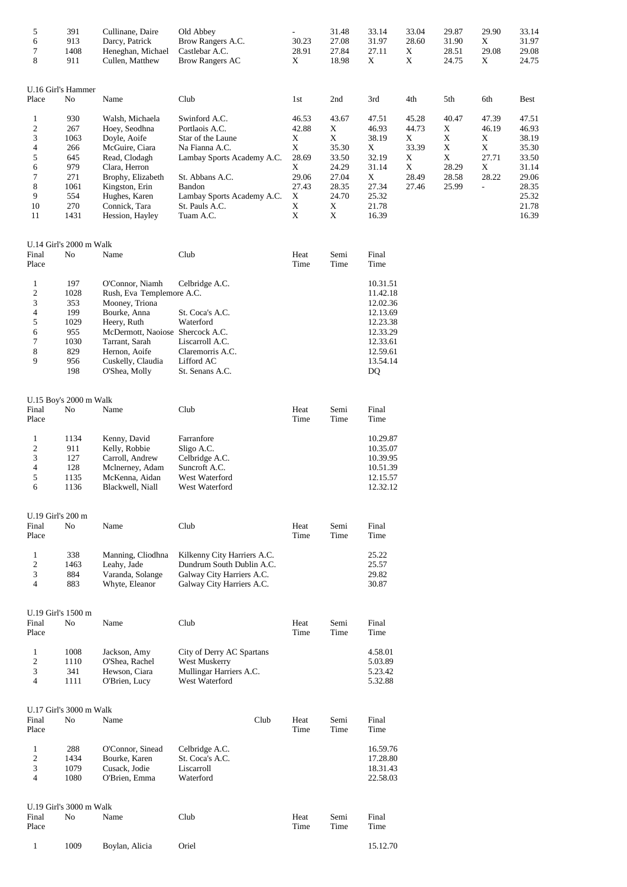| 5<br>6<br>7<br>8         | 391<br>913<br>1408<br>911    | Cullinane, Daire<br>Darcy, Patrick<br>Heneghan, Michael | Old Abbey<br>Brow Rangers A.C.<br>Castlebar A.C. | $\blacksquare$<br>30.23<br>28.91<br>X | 31.48<br>27.08<br>27.84<br>18.98 | 33.14<br>31.97<br>27.11<br>$\mathbf X$ | 33.04<br>28.60<br>X | 29.87<br>31.90<br>28.51<br>24.75 | 29.90<br>X<br>29.08<br>X | 33.14<br>31.97<br>29.08<br>24.75 |
|--------------------------|------------------------------|---------------------------------------------------------|--------------------------------------------------|---------------------------------------|----------------------------------|----------------------------------------|---------------------|----------------------------------|--------------------------|----------------------------------|
|                          |                              | Cullen, Matthew                                         | <b>Brow Rangers AC</b>                           |                                       |                                  |                                        | X                   |                                  |                          |                                  |
|                          | U.16 Girl's Hammer           |                                                         |                                                  |                                       |                                  |                                        |                     |                                  |                          |                                  |
| Place                    | No                           | Name                                                    | Club                                             | 1st                                   | 2nd                              | 3rd                                    | 4th                 | 5th                              | 6th                      | Best                             |
| $\mathbf{1}$             | 930                          | Walsh, Michaela                                         | Swinford A.C.                                    | 46.53                                 | 43.67                            | 47.51                                  | 45.28               | 40.47                            | 47.39                    | 47.51                            |
| $\boldsymbol{2}$         | 267                          | Hoey, Seodhna                                           | Portlaois A.C.                                   | 42.88                                 | $\mathbf X$                      | 46.93                                  | 44.73               | X                                | 46.19                    | 46.93                            |
| $\mathfrak{Z}$           | 1063                         | Doyle, Aoife                                            | Star of the Laune                                | X                                     | X                                | 38.19                                  | X                   | $\mathbf X$                      | $\mathbf X$              | 38.19                            |
| 4                        | 266                          | McGuire, Ciara                                          | Na Fianna A.C.                                   | X                                     | 35.30                            | $\mathbf X$                            | 33.39               | $\mathbf X$                      | $\mathbf X$              | 35.30                            |
| 5                        | 645                          | Read, Clodagh                                           | Lambay Sports Academy A.C.                       | 28.69                                 | 33.50                            | 32.19                                  | $\mathbf X$         | $\mathbf X$                      | 27.71                    | 33.50                            |
| 6                        | 979                          | Clara, Herron                                           |                                                  | X                                     | 24.29                            | 31.14                                  | $\mathbf X$         | 28.29                            | $\mathbf X$              | 31.14                            |
| $\tau$                   | 271                          | Brophy, Elizabeth                                       | St. Abbans A.C.                                  | 29.06                                 | 27.04                            | $\mathbf X$                            | 28.49               | 28.58                            | 28.22                    | 29.06                            |
| 8                        | 1061                         | Kingston, Erin                                          | Bandon                                           | 27.43                                 | 28.35                            | 27.34                                  | 27.46               | 25.99                            | $\overline{\phantom{a}}$ | 28.35                            |
| 9                        | 554                          | Hughes, Karen                                           | Lambay Sports Academy A.C.                       | $\mathbf X$                           | 24.70                            | 25.32                                  |                     |                                  |                          | 25.32                            |
| 10<br>11                 | 270<br>1431                  | Connick, Tara<br>Hession, Hayley                        | St. Pauls A.C.<br>Tuam A.C.                      | $\mathbf X$<br>$\mathbf X$            | X<br>X                           | 21.78<br>16.39                         |                     |                                  |                          | 21.78<br>16.39                   |
|                          |                              |                                                         |                                                  |                                       |                                  |                                        |                     |                                  |                          |                                  |
|                          | U.14 Girl's 2000 m Walk      |                                                         |                                                  |                                       |                                  |                                        |                     |                                  |                          |                                  |
| Final                    | No                           | Name                                                    | Club                                             | Heat                                  | Semi                             | Final                                  |                     |                                  |                          |                                  |
| Place                    |                              |                                                         |                                                  | Time                                  | Time                             | Time                                   |                     |                                  |                          |                                  |
| $\mathbf{1}$             | 197                          | O'Connor, Niamh                                         | Celbridge A.C.                                   |                                       |                                  | 10.31.51                               |                     |                                  |                          |                                  |
| $\boldsymbol{2}$         | 1028                         | Rush, Eva Templemore A.C.                               |                                                  |                                       |                                  | 11.42.18                               |                     |                                  |                          |                                  |
| $\mathfrak z$            | 353                          | Mooney, Triona                                          |                                                  |                                       |                                  | 12.02.36                               |                     |                                  |                          |                                  |
| 4                        | 199                          | Bourke, Anna                                            | St. Coca's A.C.                                  |                                       |                                  | 12.13.69                               |                     |                                  |                          |                                  |
| 5                        | 1029                         | Heery, Ruth                                             | Waterford                                        |                                       |                                  | 12.23.38                               |                     |                                  |                          |                                  |
| 6                        | 955                          | McDermott, Naoiose Shercock A.C.                        |                                                  |                                       |                                  | 12.33.29                               |                     |                                  |                          |                                  |
| $\tau$                   | 1030                         | Tarrant, Sarah                                          | Liscarroll A.C.                                  |                                       |                                  | 12.33.61                               |                     |                                  |                          |                                  |
| 8                        | 829                          | Hernon, Aoife                                           | Claremorris A.C.                                 |                                       |                                  | 12.59.61                               |                     |                                  |                          |                                  |
| 9                        | 956                          | Cuskelly, Claudia                                       | Lifford AC                                       |                                       |                                  | 13.54.14                               |                     |                                  |                          |                                  |
|                          | 198                          | O'Shea, Molly                                           | St. Senans A.C.                                  |                                       |                                  | DQ                                     |                     |                                  |                          |                                  |
|                          |                              |                                                         |                                                  |                                       |                                  |                                        |                     |                                  |                          |                                  |
| Final                    | U.15 Boy's 2000 m Walk<br>No | Name                                                    | Club                                             | Heat                                  | Semi                             | Final                                  |                     |                                  |                          |                                  |
| Place                    |                              |                                                         |                                                  | Time                                  | Time                             | Time                                   |                     |                                  |                          |                                  |
|                          |                              |                                                         |                                                  |                                       |                                  |                                        |                     |                                  |                          |                                  |
| $\mathbf{1}$             | 1134                         | Kenny, David                                            | Farranfore                                       |                                       |                                  | 10.29.87                               |                     |                                  |                          |                                  |
| $\sqrt{2}$               | 911                          | Kelly, Robbie                                           | Sligo A.C.                                       |                                       |                                  | 10.35.07                               |                     |                                  |                          |                                  |
| 3                        | 127                          | Carroll, Andrew                                         | Celbridge A.C.                                   |                                       |                                  | 10.39.95                               |                     |                                  |                          |                                  |
| $\overline{\mathcal{A}}$ | 128                          | McInerney, Adam                                         | Suncroft A.C.                                    |                                       |                                  | 10.51.39                               |                     |                                  |                          |                                  |
| 5                        | 1135                         | McKenna, Aidan                                          | West Waterford                                   |                                       |                                  | 12.15.57                               |                     |                                  |                          |                                  |
| 6                        | 1136                         | Blackwell, Niall                                        | West Waterford                                   |                                       |                                  | 12.32.12                               |                     |                                  |                          |                                  |
|                          |                              |                                                         |                                                  |                                       |                                  |                                        |                     |                                  |                          |                                  |
|                          | U.19 Girl's 200 m            |                                                         |                                                  |                                       |                                  |                                        |                     |                                  |                          |                                  |
| Final<br>Place           | No                           | Name                                                    | Club                                             | Heat<br>Time                          | Semi<br>Time                     | Final<br>Time                          |                     |                                  |                          |                                  |
|                          |                              |                                                         |                                                  |                                       |                                  |                                        |                     |                                  |                          |                                  |
| $\mathbf{1}$             | 338                          | Manning, Cliodhna                                       | Kilkenny City Harriers A.C.                      |                                       |                                  | 25.22                                  |                     |                                  |                          |                                  |
| $\overline{c}$           | 1463                         | Leahy, Jade                                             | Dundrum South Dublin A.C.                        |                                       |                                  | 25.57                                  |                     |                                  |                          |                                  |
| 3                        | 884                          | Varanda, Solange                                        | Galway City Harriers A.C.                        |                                       |                                  | 29.82                                  |                     |                                  |                          |                                  |
| 4                        | 883                          | Whyte, Eleanor                                          | Galway City Harriers A.C.                        |                                       |                                  | 30.87                                  |                     |                                  |                          |                                  |
|                          |                              |                                                         |                                                  |                                       |                                  |                                        |                     |                                  |                          |                                  |
|                          | U.19 Girl's 1500 m           |                                                         |                                                  |                                       |                                  |                                        |                     |                                  |                          |                                  |
| Final                    | No                           | Name                                                    | Club                                             | Heat                                  | Semi                             | Final                                  |                     |                                  |                          |                                  |
| Place                    |                              |                                                         |                                                  | Time                                  | Time                             | Time                                   |                     |                                  |                          |                                  |
|                          | 1008                         |                                                         |                                                  |                                       |                                  | 4.58.01                                |                     |                                  |                          |                                  |
| $\mathbf{1}$             |                              | Jackson, Amy                                            | City of Derry AC Spartans                        |                                       |                                  |                                        |                     |                                  |                          |                                  |
| $\overline{c}$           | 1110                         | O'Shea, Rachel                                          | West Muskerry<br>Mullingar Harriers A.C.         |                                       |                                  | 5.03.89                                |                     |                                  |                          |                                  |
| 3<br>4                   | 341<br>1111                  | Hewson, Ciara                                           | West Waterford                                   |                                       |                                  | 5.23.42                                |                     |                                  |                          |                                  |
|                          |                              | O'Brien, Lucy                                           |                                                  |                                       |                                  | 5.32.88                                |                     |                                  |                          |                                  |
|                          | U.17 Girl's 3000 m Walk      |                                                         |                                                  |                                       |                                  |                                        |                     |                                  |                          |                                  |
| Final                    | No                           | Name                                                    | Club                                             | Heat                                  | Semi                             | Final                                  |                     |                                  |                          |                                  |
| Place                    |                              |                                                         |                                                  | Time                                  | Time                             | Time                                   |                     |                                  |                          |                                  |
|                          |                              |                                                         |                                                  |                                       |                                  |                                        |                     |                                  |                          |                                  |
| $\mathbf{1}$             | 288                          | O'Connor, Sinead                                        | Celbridge A.C.                                   |                                       |                                  | 16.59.76                               |                     |                                  |                          |                                  |
| $\overline{c}$           | 1434                         | Bourke, Karen                                           | St. Coca's A.C.                                  |                                       |                                  | 17.28.80                               |                     |                                  |                          |                                  |
| 3                        | 1079                         | Cusack, Jodie                                           | Liscarroll                                       |                                       |                                  | 18.31.43                               |                     |                                  |                          |                                  |
| $\overline{4}$           | 1080                         | O'Brien, Emma                                           | Waterford                                        |                                       |                                  | 22.58.03                               |                     |                                  |                          |                                  |
|                          |                              |                                                         |                                                  |                                       |                                  |                                        |                     |                                  |                          |                                  |
|                          | U.19 Girl's 3000 m Walk      |                                                         |                                                  |                                       |                                  |                                        |                     |                                  |                          |                                  |
| Final                    | No                           | Name                                                    | Club                                             | Heat                                  | Semi                             | Final                                  |                     |                                  |                          |                                  |
| Place                    |                              |                                                         |                                                  | Time                                  | Time                             | Time                                   |                     |                                  |                          |                                  |
|                          |                              |                                                         |                                                  |                                       |                                  | 15.12.70                               |                     |                                  |                          |                                  |
| 1                        | 1009                         | Boylan, Alicia                                          | Oriel                                            |                                       |                                  |                                        |                     |                                  |                          |                                  |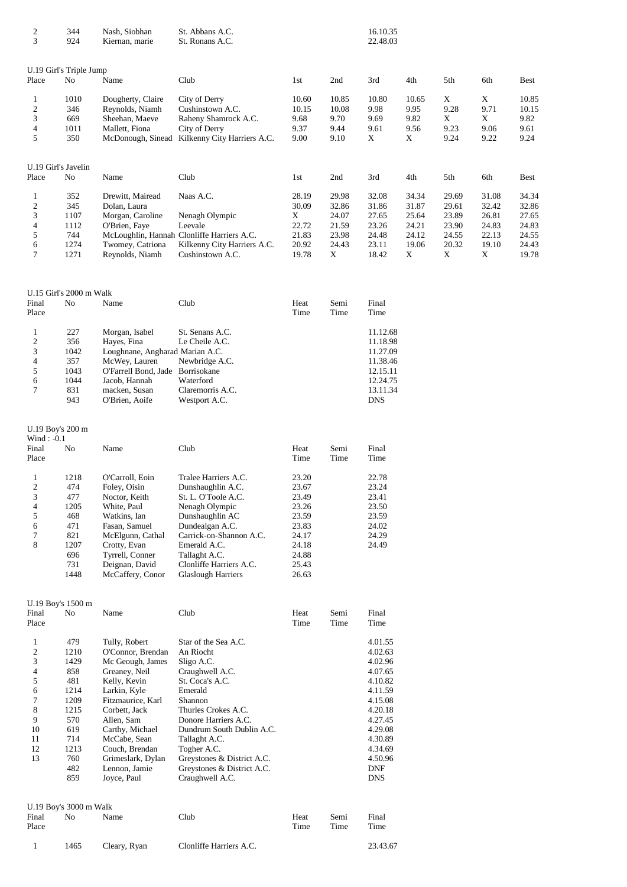| 344 | Nash. Siobhan  | St. Abbans A.C. | 16.10.35 |
|-----|----------------|-----------------|----------|
| 924 | Kiernan, marie | St. Ronans A.C. | 22.48.03 |

|                | U.19 Girl's Triple Jump |                   |                                            |       |       |       |       |       |       |       |
|----------------|-------------------------|-------------------|--------------------------------------------|-------|-------|-------|-------|-------|-------|-------|
| Place          | N <sub>0</sub>          | Name              | Club                                       | 1st   | 2nd   | 3rd   | 4th   | 5th   | 6th   | Best  |
|                | 1010                    | Dougherty, Claire | City of Derry                              | 10.60 | 10.85 | 10.80 | 10.65 | X     | X     | 10.85 |
| $\overline{2}$ | 346                     | Reynolds, Niamh   | Cushinstown A.C.                           | 10.15 | 10.08 | 9.98  | 9.95  | 9.28  | 9.71  | 10.15 |
| 3              | 669                     | Sheehan, Maeve    | Raheny Shamrock A.C.                       | 9.68  | 9.70  | 9.69  | 9.82  | X     | X     | 9.82  |
| 4              | 1011                    | Mallett. Fiona    | City of Derry                              | 9.37  | 9.44  | 9.61  | 9.56  | 9.23  | 9.06  | 9.61  |
| 5              | 350                     | McDonough, Sinead | Kilkenny City Harriers A.C.                | 9.00  | 9.10  | X     | X     | 9.24  | 9.22  | 9.24  |
|                | U.19 Girl's Javelin     |                   |                                            |       |       |       |       |       |       |       |
| Place          | N <sub>0</sub>          | Name              | Club                                       | 1st   | 2nd   | 3rd   | 4th   | 5th   | 6th   | Best  |
| -1             | 352                     | Drewitt, Mairead  | Naas A.C.                                  | 28.19 | 29.98 | 32.08 | 34.34 | 29.69 | 31.08 | 34.34 |
| $\overline{2}$ | 345                     | Dolan, Laura      |                                            | 30.09 | 32.86 | 31.86 | 31.87 | 29.61 | 32.42 | 32.86 |
| 3              | 1107                    | Morgan, Caroline  | Nenagh Olympic                             | X     | 24.07 | 27.65 | 25.64 | 23.89 | 26.81 | 27.65 |
| 4              | 1112                    | O'Brien, Faye     | Leevale                                    | 22.72 | 21.59 | 23.26 | 24.21 | 23.90 | 24.83 | 24.83 |
| 5              | 744                     |                   | McLoughlin, Hannah Clonliffe Harriers A.C. | 21.83 | 23.98 | 24.48 | 24.12 | 24.55 | 22.13 | 24.55 |
| 6              | 1274                    | Twomey, Catriona  | Kilkenny City Harriers A.C.                | 20.92 | 24.43 | 23.11 | 19.06 | 20.32 | 19.10 | 24.43 |
| 7              | 1271                    | Reynolds, Niamh   | Cushinstown A.C.                           | 19.78 | X     | 18.42 | X     | X     | X     | 19.78 |

|       | U.15 Girl's 2000 m Walk |                                  |                  |      |      |            |
|-------|-------------------------|----------------------------------|------------------|------|------|------------|
| Final | No                      | Name                             | Club             | Heat | Semi | Final      |
| Place |                         |                                  |                  | Time | Time | Time       |
|       | 227                     | Morgan, Isabel                   | St. Senans A.C.  |      |      | 11.12.68   |
| 2     | 356                     | Hayes, Fina                      | Le Cheile A.C.   |      |      | 11.18.98   |
| 3     | 1042                    | Loughnane, Angharad Marian A.C.  |                  |      |      | 11.27.09   |
| 4     | 357                     | McWey, Lauren                    | Newbridge A.C.   |      |      | 11.38.46   |
| 5     | 1043                    | O'Farrell Bond, Jade Borrisokane |                  |      |      | 12.15.11   |
| 6     | 1044                    | Jacob, Hannah                    | Waterford        |      |      | 12.24.75   |
| 7     | 831                     | macken, Susan                    | Claremorris A.C. |      |      | 13.11.34   |
|       | 943                     | O'Brien, Aoife                   | Westport A.C.    |      |      | <b>DNS</b> |
|       |                         |                                  |                  |      |      |            |

U.19 Boy's 200 m

| Wind: $-0.1$ |                |                  |                           |       |      |       |
|--------------|----------------|------------------|---------------------------|-------|------|-------|
| Final        | N <sub>0</sub> | Name             | Club                      | Heat  | Semi | Final |
| Place        |                |                  |                           | Time  | Time | Time  |
| 1            | 1218           | O'Carroll, Eoin  | Tralee Harriers A.C.      | 23.20 |      | 22.78 |
| 2            | 474            | Foley, Oisin     | Dunshaughlin A.C.         | 23.67 |      | 23.24 |
| 3            | 477            | Noctor, Keith    | St. L. O'Toole A.C.       | 23.49 |      | 23.41 |
| 4            | 1205           | White, Paul      | Nenagh Olympic            | 23.26 |      | 23.50 |
| 5            | 468            | Watkins, Ian     | Dunshaughlin AC           | 23.59 |      | 23.59 |
| 6            | 471            | Fasan, Samuel    | Dundealgan A.C.           | 23.83 |      | 24.02 |
| 7            | 821            | McElgunn, Cathal | Carrick-on-Shannon A.C.   | 24.17 |      | 24.29 |
| 8            | 1207           | Crotty, Evan     | Emerald A.C.              | 24.18 |      | 24.49 |
|              | 696            | Tyrrell, Conner  | Tallaght A.C.             | 24.88 |      |       |
|              | 731            | Deignan, David   | Clonliffe Harriers A.C.   | 25.43 |      |       |
|              | 1448           | McCaffery, Conor | <b>Glaslough Harriers</b> | 26.63 |      |       |
|              |                |                  |                           |       |      |       |

|                | U.19 Boy's 1500 m      |                   |                            |      |      |            |
|----------------|------------------------|-------------------|----------------------------|------|------|------------|
| Final          | No                     | Name              | Club                       | Heat | Semi | Final      |
| Place          |                        |                   |                            | Time | Time | Time       |
|                |                        |                   |                            |      |      |            |
| 1              | 479                    | Tully, Robert     | Star of the Sea A.C.       |      |      | 4.01.55    |
| $\overline{c}$ | 1210                   | O'Connor, Brendan | An Riocht                  |      |      | 4.02.63    |
| 3              | 1429                   | Mc Geough, James  | Sligo A.C.                 |      |      | 4.02.96    |
| $\overline{4}$ | 858                    | Greaney, Neil     | Craughwell A.C.            |      |      | 4.07.65    |
| 5              | 481                    | Kelly, Kevin      | St. Coca's A.C.            |      |      | 4.10.82    |
| 6              | 1214                   | Larkin, Kyle      | Emerald                    |      |      | 4.11.59    |
| 7              | 1209                   | Fitzmaurice, Karl | Shannon                    |      |      | 4.15.08    |
| 8              | 1215                   | Corbett, Jack     | Thurles Crokes A.C.        |      |      | 4.20.18    |
| 9              | 570                    | Allen, Sam        | Donore Harriers A.C.       |      |      | 4.27.45    |
| 10             | 619                    | Carthy, Michael   | Dundrum South Dublin A.C.  |      |      | 4.29.08    |
| 11             | 714                    | McCabe, Sean      | Tallaght A.C.              |      |      | 4.30.89    |
| 12             | 1213                   | Couch, Brendan    | Togher A.C.                |      |      | 4.34.69    |
| 13             | 760                    | Grimeslark, Dylan | Greystones & District A.C. |      |      | 4.50.96    |
|                | 482                    | Lennon, Jamie     | Greystones & District A.C. |      |      | <b>DNF</b> |
|                | 859                    | Joyce, Paul       | Craughwell A.C.            |      |      | <b>DNS</b> |
|                |                        |                   |                            |      |      |            |
|                | U.19 Boy's 3000 m Walk |                   |                            |      |      |            |
| Final          | No                     | Name              | Club                       | Heat | Semi | Final      |

| Place | 1 I V | 1.141110     | আ⊌                      | 110ac<br>Time | 50111<br>Time | 1 111 U.I<br>Time |
|-------|-------|--------------|-------------------------|---------------|---------------|-------------------|
|       | 1465  | Cleary, Ryan | Clonliffe Harriers A.C. |               |               | 23.43.67          |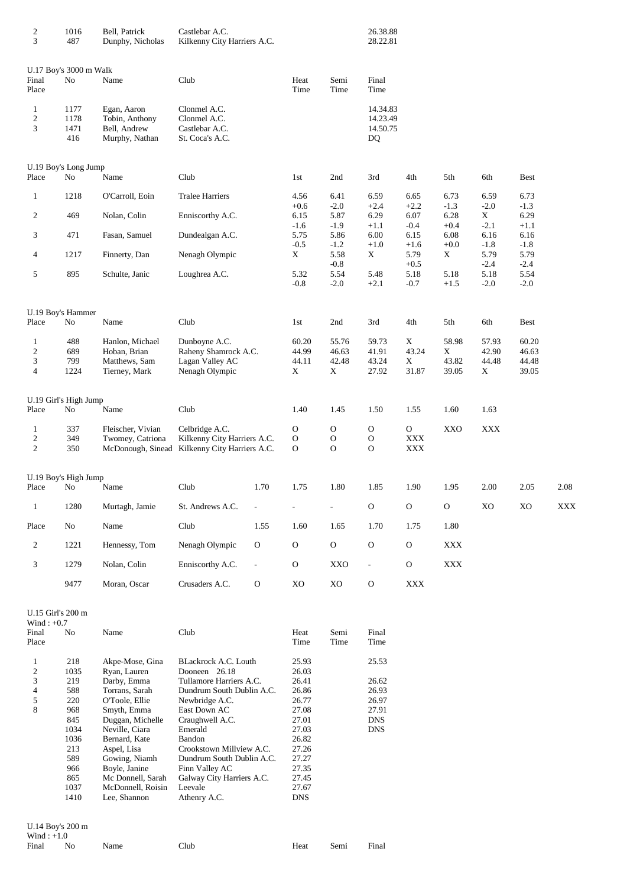| 2<br>3                                                                    | 1016<br>487                                                                                                | Bell, Patrick<br>Dunphy, Nicholas                                                                                                                                                                                                                                   | Castlebar A.C.<br>Kilkenny City Harriers A.C.                                                                                                                                                                                                                                                                     |                          |                                                                                                                                          |                              | 26.38.88<br>28.22.81                                                   |                                    |                              |                                        |                                  |      |
|---------------------------------------------------------------------------|------------------------------------------------------------------------------------------------------------|---------------------------------------------------------------------------------------------------------------------------------------------------------------------------------------------------------------------------------------------------------------------|-------------------------------------------------------------------------------------------------------------------------------------------------------------------------------------------------------------------------------------------------------------------------------------------------------------------|--------------------------|------------------------------------------------------------------------------------------------------------------------------------------|------------------------------|------------------------------------------------------------------------|------------------------------------|------------------------------|----------------------------------------|----------------------------------|------|
| Final<br>Place                                                            | U.17 Boy's 3000 m Walk<br>No                                                                               | Name                                                                                                                                                                                                                                                                | Club                                                                                                                                                                                                                                                                                                              |                          | Heat<br>Time                                                                                                                             | Semi<br>Time                 | Final<br>Time                                                          |                                    |                              |                                        |                                  |      |
| $\mathbf{1}$<br>$\sqrt{2}$<br>3                                           | 1177<br>1178<br>1471<br>416                                                                                | Egan, Aaron<br>Tobin, Anthony<br>Bell, Andrew<br>Murphy, Nathan                                                                                                                                                                                                     | Clonmel A.C.<br>Clonmel A.C.<br>Castlebar A.C.<br>St. Coca's A.C.                                                                                                                                                                                                                                                 |                          |                                                                                                                                          |                              | 14.34.83<br>14.23.49<br>14.50.75<br>DQ                                 |                                    |                              |                                        |                                  |      |
| Place                                                                     | U.19 Boy's Long Jump<br>No                                                                                 | Name                                                                                                                                                                                                                                                                | Club                                                                                                                                                                                                                                                                                                              |                          | 1st                                                                                                                                      | 2nd                          | 3rd                                                                    | 4th                                | 5th                          | 6th                                    | Best                             |      |
| 1                                                                         | 1218                                                                                                       | O'Carroll, Eoin                                                                                                                                                                                                                                                     | <b>Tralee Harriers</b>                                                                                                                                                                                                                                                                                            |                          | 4.56                                                                                                                                     | 6.41                         | 6.59                                                                   | 6.65                               | 6.73                         | 6.59                                   | 6.73                             |      |
| 2                                                                         | 469                                                                                                        | Nolan, Colin                                                                                                                                                                                                                                                        | Enniscorthy A.C.                                                                                                                                                                                                                                                                                                  |                          | $+0.6$<br>6.15                                                                                                                           | $-2.0$<br>5.87               | $+2.4$<br>6.29                                                         | $+2.2$<br>6.07                     | $-1.3$<br>6.28               | $-2.0$<br>X                            | $-1.3$<br>6.29                   |      |
| 3                                                                         | 471                                                                                                        | Fasan, Samuel                                                                                                                                                                                                                                                       | Dundealgan A.C.                                                                                                                                                                                                                                                                                                   |                          | $-1.6$<br>5.75                                                                                                                           | $-1.9$<br>5.86               | $+1.1$<br>6.00                                                         | $-0.4$<br>6.15                     | $+0.4$<br>6.08               | $-2.1$<br>6.16                         | $+1.1$<br>6.16                   |      |
| 4                                                                         | 1217                                                                                                       | Finnerty, Dan                                                                                                                                                                                                                                                       | Nenagh Olympic                                                                                                                                                                                                                                                                                                    |                          | $-0.5$<br>$\mathbf X$                                                                                                                    | $-1.2$<br>5.58               | $+1.0$<br>X                                                            | $+1.6$<br>5.79                     | $+0.0$<br>X                  | $-1.8$<br>5.79                         | $-1.8$<br>5.79                   |      |
| 5                                                                         | 895                                                                                                        | Schulte, Janic                                                                                                                                                                                                                                                      | Loughrea A.C.                                                                                                                                                                                                                                                                                                     |                          | 5.32<br>$-0.8$                                                                                                                           | $-0.8$<br>5.54<br>$-2.0$     | 5.48<br>$+2.1$                                                         | $+0.5$<br>5.18<br>$-0.7$           | 5.18<br>$+1.5$               | $-2.4$<br>5.18<br>$-2.0$               | $-2.4$<br>5.54<br>$-2.0$         |      |
|                                                                           | U.19 Boy's Hammer                                                                                          |                                                                                                                                                                                                                                                                     |                                                                                                                                                                                                                                                                                                                   |                          |                                                                                                                                          |                              |                                                                        |                                    |                              |                                        |                                  |      |
| Place                                                                     | No                                                                                                         | Name                                                                                                                                                                                                                                                                | Club                                                                                                                                                                                                                                                                                                              |                          | 1st                                                                                                                                      | 2nd                          | 3rd                                                                    | 4th                                | 5th                          | 6th                                    | Best                             |      |
| 1<br>$\boldsymbol{2}$<br>3<br>$\overline{4}$                              | 488<br>689<br>799<br>1224                                                                                  | Hanlon, Michael<br>Hoban, Brian<br>Matthews, Sam<br>Tierney, Mark                                                                                                                                                                                                   | Dunboyne A.C.<br>Raheny Shamrock A.C.<br>Lagan Valley AC<br>Nenagh Olympic                                                                                                                                                                                                                                        |                          | 60.20<br>44.99<br>44.11<br>$\mathbf X$                                                                                                   | 55.76<br>46.63<br>42.48<br>X | 59.73<br>41.91<br>43.24<br>27.92                                       | X<br>43.24<br>$\mathbf X$<br>31.87 | 58.98<br>X<br>43.82<br>39.05 | 57.93<br>42.90<br>44.48<br>$\mathbf X$ | 60.20<br>46.63<br>44.48<br>39.05 |      |
| Place                                                                     | U.19 Girl's High Jump<br>No                                                                                | Name                                                                                                                                                                                                                                                                | Club                                                                                                                                                                                                                                                                                                              |                          | 1.40                                                                                                                                     | 1.45                         | 1.50                                                                   | 1.55                               | 1.60                         | 1.63                                   |                                  |      |
| 1<br>$\overline{\mathbf{c}}$<br>$\overline{c}$                            | 337<br>349<br>350                                                                                          | Fleischer, Vivian<br>Twomey, Catriona<br>McDonough, Sinead Kilkenny City Harriers A.C.                                                                                                                                                                              | Celbridge A.C.<br>Kilkenny City Harriers A.C.                                                                                                                                                                                                                                                                     |                          | $\mathbf{O}$<br>$\mathbf{O}$<br>O                                                                                                        | O<br>$\mathbf O$<br>O        | O<br>O<br>O                                                            | O<br><b>XXX</b><br>XXX             | <b>XXO</b>                   | <b>XXX</b>                             |                                  |      |
| Place                                                                     | U.19 Boy's High Jump<br>No                                                                                 | Name                                                                                                                                                                                                                                                                | Club                                                                                                                                                                                                                                                                                                              | 1.70                     | 1.75                                                                                                                                     | 1.80                         | 1.85                                                                   | 1.90                               | 1.95                         | 2.00                                   | 2.05                             | 2.08 |
| 1                                                                         | 1280                                                                                                       | Murtagh, Jamie                                                                                                                                                                                                                                                      | St. Andrews A.C.                                                                                                                                                                                                                                                                                                  |                          |                                                                                                                                          |                              | $\mathcal{O}$                                                          | $\mathcal{O}$                      | $\mathcal{O}$                | XO                                     | XO                               | XXX  |
| Place                                                                     | No                                                                                                         | Name                                                                                                                                                                                                                                                                | Club                                                                                                                                                                                                                                                                                                              | 1.55                     | 1.60                                                                                                                                     | 1.65                         | 1.70                                                                   | 1.75                               | 1.80                         |                                        |                                  |      |
| 2                                                                         | 1221                                                                                                       | Hennessy, Tom                                                                                                                                                                                                                                                       | Nenagh Olympic                                                                                                                                                                                                                                                                                                    | $\mathbf{O}$             | $\mathbf{O}$                                                                                                                             | $\mathcal{O}$                | $\mathcal{O}$                                                          | $\mathbf{O}$                       | <b>XXX</b>                   |                                        |                                  |      |
| 3                                                                         | 1279                                                                                                       | Nolan, Colin                                                                                                                                                                                                                                                        | Enniscorthy A.C.                                                                                                                                                                                                                                                                                                  | $\overline{\phantom{a}}$ | $\mathbf{O}$                                                                                                                             | XXO                          | $\overline{\phantom{a}}$                                               | $\mathbf{O}$                       | <b>XXX</b>                   |                                        |                                  |      |
|                                                                           | 9477                                                                                                       | Moran, Oscar                                                                                                                                                                                                                                                        | Crusaders A.C.                                                                                                                                                                                                                                                                                                    | $\mathbf{O}$             | XO                                                                                                                                       | XO                           | ${\rm O}$                                                              | $\mathbf{XXX}$                     |                              |                                        |                                  |      |
|                                                                           |                                                                                                            |                                                                                                                                                                                                                                                                     |                                                                                                                                                                                                                                                                                                                   |                          |                                                                                                                                          |                              |                                                                        |                                    |                              |                                        |                                  |      |
| Wind: $+0.7$                                                              | U.15 Girl's 200 m                                                                                          |                                                                                                                                                                                                                                                                     |                                                                                                                                                                                                                                                                                                                   |                          |                                                                                                                                          |                              |                                                                        |                                    |                              |                                        |                                  |      |
| Final<br>Place                                                            | No                                                                                                         | Name                                                                                                                                                                                                                                                                | Club                                                                                                                                                                                                                                                                                                              |                          | Heat<br>Time                                                                                                                             | Semi<br>Time                 | Final<br>Time                                                          |                                    |                              |                                        |                                  |      |
| $\mathbf{1}$<br>$\overline{c}$<br>3<br>$\overline{\mathcal{A}}$<br>5<br>8 | 218<br>1035<br>219<br>588<br>220<br>968<br>845<br>1034<br>1036<br>213<br>589<br>966<br>865<br>1037<br>1410 | Akpe-Mose, Gina<br>Ryan, Lauren<br>Darby, Emma<br>Torrans, Sarah<br>O'Toole, Ellie<br>Smyth, Emma<br>Duggan, Michelle<br>Neville, Ciara<br>Bernard, Kate<br>Aspel, Lisa<br>Gowing, Niamh<br>Boyle, Janine<br>Mc Donnell, Sarah<br>McDonnell, Roisin<br>Lee, Shannon | <b>BLackrock A.C. Louth</b><br>Dooneen 26.18<br>Tullamore Harriers A.C.<br>Dundrum South Dublin A.C.<br>Newbridge A.C.<br>East Down AC<br>Craughwell A.C.<br>Emerald<br>Bandon<br>Crookstown Millview A.C.<br>Dundrum South Dublin A.C.<br>Finn Valley AC<br>Galway City Harriers A.C.<br>Leevale<br>Athenry A.C. |                          | 25.93<br>26.03<br>26.41<br>26.86<br>26.77<br>27.08<br>27.01<br>27.03<br>26.82<br>27.26<br>27.27<br>27.35<br>27.45<br>27.67<br><b>DNS</b> |                              | 25.53<br>26.62<br>26.93<br>26.97<br>27.91<br><b>DNS</b><br>${\rm DNS}$ |                                    |                              |                                        |                                  |      |
|                                                                           | U.14 Boy's 200 m                                                                                           |                                                                                                                                                                                                                                                                     |                                                                                                                                                                                                                                                                                                                   |                          |                                                                                                                                          |                              |                                                                        |                                    |                              |                                        |                                  |      |
| Wind: $+1.0$<br>Final                                                     | No                                                                                                         | Name                                                                                                                                                                                                                                                                | Club                                                                                                                                                                                                                                                                                                              |                          | Heat                                                                                                                                     | Semi                         | Final                                                                  |                                    |                              |                                        |                                  |      |
|                                                                           |                                                                                                            |                                                                                                                                                                                                                                                                     |                                                                                                                                                                                                                                                                                                                   |                          |                                                                                                                                          |                              |                                                                        |                                    |                              |                                        |                                  |      |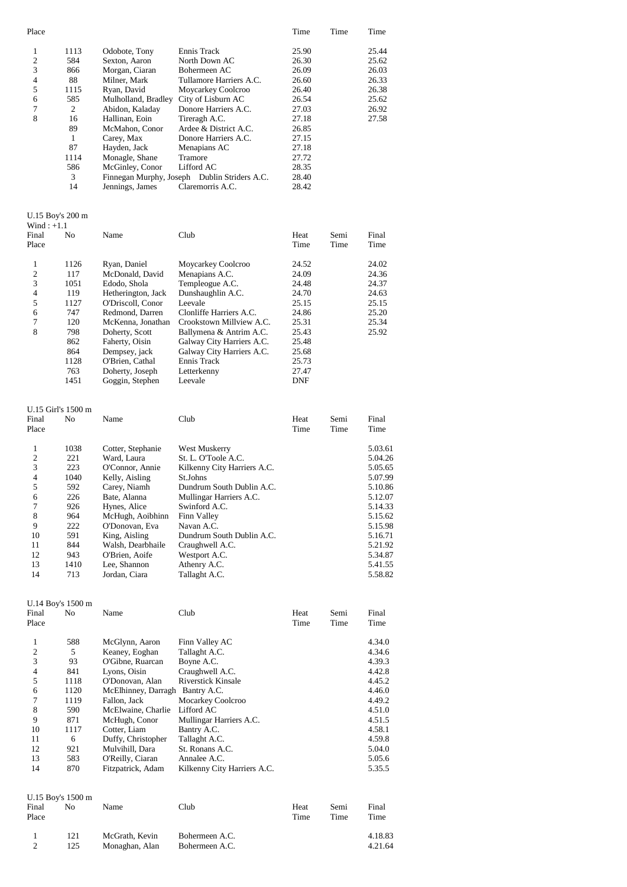| $\mathbf{1}$<br>$\overline{c}$<br>3<br>4<br>5<br>6<br>7<br>8 | 1113<br>584<br>866<br>88<br>1115<br>585<br>$\overline{2}$<br>16<br>89<br>$\mathbf{1}$<br>87<br>1114<br>586<br>3<br>14 | Odobote, Tony<br>Sexton, Aaron<br>Morgan, Ciaran<br>Milner, Mark<br>Ryan, David<br>Mulholland, Bradley<br>Abidon, Kaladay<br>Hallinan, Eoin<br>McMahon, Conor<br>Carey, Max<br>Hayden, Jack<br>Monagle, Shane<br>McGinley, Conor<br>Jennings, James | Ennis Track<br>North Down AC<br>Bohermeen AC<br>Tullamore Harriers A.C.<br>Moycarkey Coolcroo<br>City of Lisburn AC<br>Donore Harriers A.C.<br>Tireragh A.C.<br>Ardee & District A.C.<br>Donore Harriers A.C.<br>Menapians AC<br>Tramore<br>Lifford AC<br>Finnegan Murphy, Joseph Dublin Striders A.C.<br>Claremorris A.C. | 25.90<br>26.30<br>26.09<br>26.60<br>26.40<br>26.54<br>27.03<br>27.18<br>26.85<br>27.15<br>27.18<br>27.72<br>28.35<br>28.40<br>28.42 |              | 25.44<br>25.62<br>26.03<br>26.33<br>26.38<br>25.62<br>26.92<br>27.58 |
|--------------------------------------------------------------|-----------------------------------------------------------------------------------------------------------------------|-----------------------------------------------------------------------------------------------------------------------------------------------------------------------------------------------------------------------------------------------------|----------------------------------------------------------------------------------------------------------------------------------------------------------------------------------------------------------------------------------------------------------------------------------------------------------------------------|-------------------------------------------------------------------------------------------------------------------------------------|--------------|----------------------------------------------------------------------|
|                                                              | U.15 Boy's 200 m                                                                                                      |                                                                                                                                                                                                                                                     |                                                                                                                                                                                                                                                                                                                            |                                                                                                                                     |              |                                                                      |
| $Wind : +1.1$                                                |                                                                                                                       |                                                                                                                                                                                                                                                     |                                                                                                                                                                                                                                                                                                                            |                                                                                                                                     |              |                                                                      |
| Final<br>Place                                               | No                                                                                                                    | Name                                                                                                                                                                                                                                                | Club                                                                                                                                                                                                                                                                                                                       | Heat<br>Time                                                                                                                        | Semi<br>Time | Final<br>Time                                                        |
|                                                              |                                                                                                                       |                                                                                                                                                                                                                                                     |                                                                                                                                                                                                                                                                                                                            |                                                                                                                                     |              |                                                                      |
| $\mathbf{1}$<br>$\overline{c}$                               | 1126<br>117                                                                                                           | Ryan, Daniel<br>McDonald, David                                                                                                                                                                                                                     | Moycarkey Coolcroo<br>Menapians A.C.                                                                                                                                                                                                                                                                                       | 24.52<br>24.09                                                                                                                      |              | 24.02<br>24.36                                                       |
| 3                                                            | 1051                                                                                                                  | Edodo, Shola                                                                                                                                                                                                                                        | Templeogue A.C.                                                                                                                                                                                                                                                                                                            | 24.48                                                                                                                               |              | 24.37                                                                |
| 4                                                            | 119                                                                                                                   | Hetherington, Jack                                                                                                                                                                                                                                  | Dunshaughlin A.C.                                                                                                                                                                                                                                                                                                          | 24.70                                                                                                                               |              | 24.63                                                                |
| 5                                                            | 1127                                                                                                                  | O'Driscoll, Conor                                                                                                                                                                                                                                   | Leevale                                                                                                                                                                                                                                                                                                                    | 25.15                                                                                                                               |              | 25.15                                                                |
| 6                                                            | 747                                                                                                                   | Redmond, Darren                                                                                                                                                                                                                                     | Clonliffe Harriers A.C.                                                                                                                                                                                                                                                                                                    | 24.86                                                                                                                               |              | 25.20                                                                |
| 7                                                            | 120                                                                                                                   | McKenna, Jonathan                                                                                                                                                                                                                                   | Crookstown Millview A.C.                                                                                                                                                                                                                                                                                                   | 25.31                                                                                                                               |              | 25.34                                                                |
| 8                                                            | 798                                                                                                                   | Doherty, Scott                                                                                                                                                                                                                                      | Ballymena & Antrim A.C.                                                                                                                                                                                                                                                                                                    | 25.43                                                                                                                               |              | 25.92                                                                |
|                                                              | 862<br>864                                                                                                            | Faherty, Oisin<br>Dempsey, jack                                                                                                                                                                                                                     | Galway City Harriers A.C.<br>Galway City Harriers A.C.                                                                                                                                                                                                                                                                     | 25.48<br>25.68                                                                                                                      |              |                                                                      |
|                                                              | 1128                                                                                                                  | O'Brien, Cathal                                                                                                                                                                                                                                     | Ennis Track                                                                                                                                                                                                                                                                                                                | 25.73                                                                                                                               |              |                                                                      |
|                                                              | 763                                                                                                                   | Doherty, Joseph                                                                                                                                                                                                                                     | Letterkenny                                                                                                                                                                                                                                                                                                                | 27.47                                                                                                                               |              |                                                                      |
|                                                              | 1451                                                                                                                  | Goggin, Stephen                                                                                                                                                                                                                                     | Leevale                                                                                                                                                                                                                                                                                                                    | <b>DNF</b>                                                                                                                          |              |                                                                      |
| Final<br>Place                                               | U.15 Girl's 1500 m<br>No                                                                                              | Name                                                                                                                                                                                                                                                | Club                                                                                                                                                                                                                                                                                                                       | Heat<br>Time                                                                                                                        | Semi<br>Time | Final<br>Time                                                        |
| $\mathbf{1}$                                                 | 1038                                                                                                                  | Cotter, Stephanie                                                                                                                                                                                                                                   | West Muskerry                                                                                                                                                                                                                                                                                                              |                                                                                                                                     |              | 5.03.61                                                              |
| $\mathfrak{2}$                                               | 221                                                                                                                   | Ward, Laura                                                                                                                                                                                                                                         | St. L. O'Toole A.C.                                                                                                                                                                                                                                                                                                        |                                                                                                                                     |              | 5.04.26                                                              |
| 3                                                            | 223                                                                                                                   | O'Connor, Annie                                                                                                                                                                                                                                     | Kilkenny City Harriers A.C.                                                                                                                                                                                                                                                                                                |                                                                                                                                     |              | 5.05.65                                                              |
| $\overline{4}$                                               | 1040                                                                                                                  | Kelly, Aisling                                                                                                                                                                                                                                      | St.Johns                                                                                                                                                                                                                                                                                                                   |                                                                                                                                     |              | 5.07.99                                                              |
| 5                                                            | 592                                                                                                                   | Carey, Niamh                                                                                                                                                                                                                                        | Dundrum South Dublin A.C.                                                                                                                                                                                                                                                                                                  |                                                                                                                                     |              | 5.10.86                                                              |
| 6                                                            | 226                                                                                                                   | Bate, Alanna                                                                                                                                                                                                                                        | Mullingar Harriers A.C.                                                                                                                                                                                                                                                                                                    |                                                                                                                                     |              | 5.12.07                                                              |
| 7                                                            | 926                                                                                                                   | Hynes, Alice                                                                                                                                                                                                                                        | Swinford A.C.                                                                                                                                                                                                                                                                                                              |                                                                                                                                     |              | 5.14.33                                                              |
| 8<br>9                                                       | 964<br>222                                                                                                            | McHugh, Aoibhinn<br>O'Donovan, Eva                                                                                                                                                                                                                  | Finn Valley<br>Navan A.C.                                                                                                                                                                                                                                                                                                  |                                                                                                                                     |              | 5.15.62<br>5.15.98                                                   |
| 10                                                           | 591                                                                                                                   | King, Aisling                                                                                                                                                                                                                                       | Dundrum South Dublin A.C.                                                                                                                                                                                                                                                                                                  |                                                                                                                                     |              | 5.16.71                                                              |
| 11                                                           | 844                                                                                                                   | Walsh, Dearbhaile                                                                                                                                                                                                                                   | Craughwell A.C.                                                                                                                                                                                                                                                                                                            |                                                                                                                                     |              | 5.21.92                                                              |
| 12                                                           | 943                                                                                                                   | O'Brien, Aoife                                                                                                                                                                                                                                      | Westport A.C.                                                                                                                                                                                                                                                                                                              |                                                                                                                                     |              | 5.34.87                                                              |
| 13                                                           | 1410                                                                                                                  | Lee, Shannon                                                                                                                                                                                                                                        | Athenry A.C.                                                                                                                                                                                                                                                                                                               |                                                                                                                                     |              | 5.41.55                                                              |
| 14                                                           | 713                                                                                                                   | Jordan, Ciara                                                                                                                                                                                                                                       | Tallaght A.C.                                                                                                                                                                                                                                                                                                              |                                                                                                                                     |              | 5.58.82                                                              |
|                                                              | U.14 Boy's 1500 m                                                                                                     |                                                                                                                                                                                                                                                     |                                                                                                                                                                                                                                                                                                                            |                                                                                                                                     |              |                                                                      |
| Final                                                        | No                                                                                                                    | Name                                                                                                                                                                                                                                                | Club                                                                                                                                                                                                                                                                                                                       | Heat                                                                                                                                | Semi         | Final                                                                |
| Place                                                        |                                                                                                                       |                                                                                                                                                                                                                                                     |                                                                                                                                                                                                                                                                                                                            | Time                                                                                                                                | Time         | Time                                                                 |
| $\mathbf{1}$                                                 | 588                                                                                                                   | McGlynn, Aaron                                                                                                                                                                                                                                      | Finn Valley AC                                                                                                                                                                                                                                                                                                             |                                                                                                                                     |              | 4.34.0                                                               |
| $\mathfrak{2}$                                               | 5                                                                                                                     | Keaney, Eoghan                                                                                                                                                                                                                                      | Tallaght A.C.                                                                                                                                                                                                                                                                                                              |                                                                                                                                     |              | 4.34.6                                                               |
| 3                                                            | 93                                                                                                                    | O'Gibne, Ruarcan                                                                                                                                                                                                                                    | Boyne A.C.                                                                                                                                                                                                                                                                                                                 |                                                                                                                                     |              | 4.39.3                                                               |
| 4                                                            | 841                                                                                                                   | Lyons, Oisin                                                                                                                                                                                                                                        | Craughwell A.C.                                                                                                                                                                                                                                                                                                            |                                                                                                                                     |              | 4.42.8                                                               |
| 5                                                            | 1118                                                                                                                  | O'Donovan, Alan                                                                                                                                                                                                                                     | Riverstick Kinsale                                                                                                                                                                                                                                                                                                         |                                                                                                                                     |              | 4.45.2                                                               |
| 6<br>7                                                       | 1120<br>1119                                                                                                          | McElhinney, Darragh Bantry A.C.<br>Fallon, Jack                                                                                                                                                                                                     | Mocarkey Coolcroo                                                                                                                                                                                                                                                                                                          |                                                                                                                                     |              | 4.46.0<br>4.49.2                                                     |
| 8                                                            | 590                                                                                                                   | McElwaine, Charlie                                                                                                                                                                                                                                  | Lifford AC                                                                                                                                                                                                                                                                                                                 |                                                                                                                                     |              | 4.51.0                                                               |
| 9                                                            | 871                                                                                                                   | McHugh, Conor                                                                                                                                                                                                                                       | Mullingar Harriers A.C.                                                                                                                                                                                                                                                                                                    |                                                                                                                                     |              | 4.51.5                                                               |
| 10                                                           | 1117                                                                                                                  | Cotter, Liam                                                                                                                                                                                                                                        | Bantry A.C.                                                                                                                                                                                                                                                                                                                |                                                                                                                                     |              | 4.58.1                                                               |
| 11                                                           | 6                                                                                                                     | Duffy, Christopher                                                                                                                                                                                                                                  | Tallaght A.C.                                                                                                                                                                                                                                                                                                              |                                                                                                                                     |              | 4.59.8                                                               |
| 12                                                           | 921                                                                                                                   | Mulvihill, Dara                                                                                                                                                                                                                                     | St. Ronans A.C.                                                                                                                                                                                                                                                                                                            |                                                                                                                                     |              | 5.04.0                                                               |
| 13                                                           | 583                                                                                                                   | O'Reilly, Ciaran                                                                                                                                                                                                                                    | Annalee A.C.                                                                                                                                                                                                                                                                                                               |                                                                                                                                     |              | 5.05.6                                                               |
| 14                                                           | 870                                                                                                                   | Fitzpatrick, Adam                                                                                                                                                                                                                                   | Kilkenny City Harriers A.C.                                                                                                                                                                                                                                                                                                |                                                                                                                                     |              | 5.35.5                                                               |
|                                                              | U.15 Boy's 1500 m                                                                                                     |                                                                                                                                                                                                                                                     |                                                                                                                                                                                                                                                                                                                            |                                                                                                                                     |              |                                                                      |
| Final                                                        | No                                                                                                                    | Name                                                                                                                                                                                                                                                | Club                                                                                                                                                                                                                                                                                                                       | Heat                                                                                                                                | Semi         | Final                                                                |
| Place                                                        |                                                                                                                       |                                                                                                                                                                                                                                                     |                                                                                                                                                                                                                                                                                                                            | Time                                                                                                                                | Time         | Time                                                                 |
|                                                              |                                                                                                                       |                                                                                                                                                                                                                                                     |                                                                                                                                                                                                                                                                                                                            |                                                                                                                                     |              |                                                                      |

Place Time Time Time Time Time

|     | McGrath, Kevin                | Bohermeen A.C. | 4.18.83 |
|-----|-------------------------------|----------------|---------|
| 125 | Monaghan, Alan Bohermeen A.C. |                | 4.21.64 |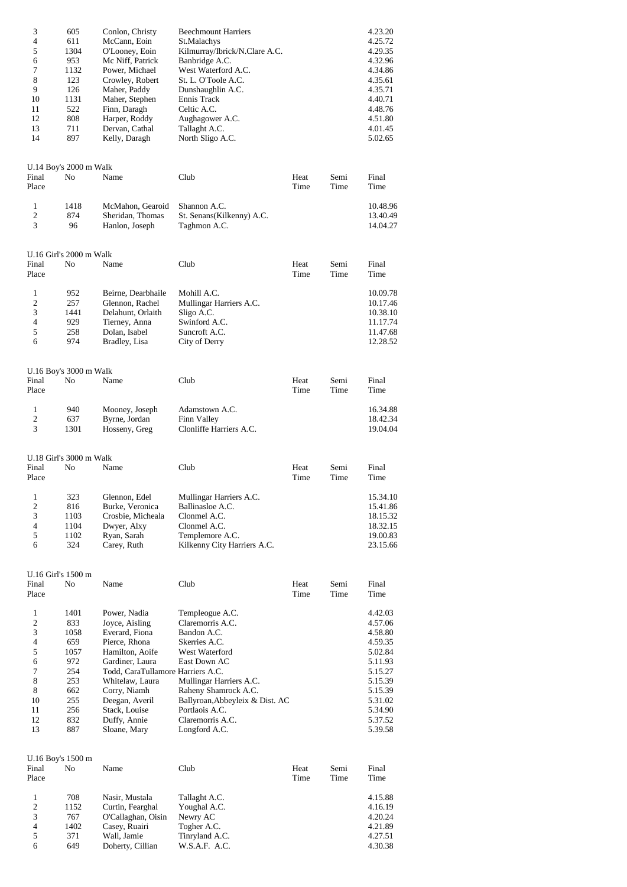| 3<br>4<br>5<br>6<br>7<br>$\,$ 8 $\,$<br>9<br>10<br>11<br>12<br>13<br>14 | 605<br>611<br>1304<br>953<br>1132<br>123<br>126<br>1131<br>522<br>808<br>711<br>897 | Conlon, Christy<br>McCann, Eoin<br>O'Looney, Eoin<br>Mc Niff, Patrick<br>Power, Michael<br>Crowley, Robert<br>Maher, Paddy<br>Maher, Stephen<br>Finn, Daragh<br>Harper, Roddy<br>Dervan, Cathal<br>Kelly, Daragh | <b>Beechmount Harriers</b><br>St.Malachys<br>Kilmurray/Ibrick/N.Clare A.C.<br>Banbridge A.C.<br>West Waterford A.C.<br>St. L. O'Toole A.C.<br>Dunshaughlin A.C.<br>Ennis Track<br>Celtic A.C.<br>Aughagower A.C.<br>Tallaght A.C.<br>North Sligo A.C. |              |              | 4.23.20<br>4.25.72<br>4.29.35<br>4.32.96<br>4.34.86<br>4.35.61<br>4.35.71<br>4.40.71<br>4.48.76<br>4.51.80<br>4.01.45<br>5.02.65 |
|-------------------------------------------------------------------------|-------------------------------------------------------------------------------------|------------------------------------------------------------------------------------------------------------------------------------------------------------------------------------------------------------------|-------------------------------------------------------------------------------------------------------------------------------------------------------------------------------------------------------------------------------------------------------|--------------|--------------|----------------------------------------------------------------------------------------------------------------------------------|
| Final<br>Place                                                          | U.14 Boy's 2000 m Walk<br>No                                                        | Name                                                                                                                                                                                                             | Club                                                                                                                                                                                                                                                  | Heat<br>Time | Semi<br>Time | Final<br>Time                                                                                                                    |
| 1<br>$\overline{c}$<br>3                                                | 1418<br>874<br>96                                                                   | McMahon, Gearoid<br>Sheridan, Thomas<br>Hanlon, Joseph                                                                                                                                                           | Shannon A.C.<br>St. Senans(Kilkenny) A.C.<br>Taghmon A.C.                                                                                                                                                                                             |              |              | 10.48.96<br>13.40.49<br>14.04.27                                                                                                 |
|                                                                         | U.16 Girl's 2000 m Walk                                                             |                                                                                                                                                                                                                  |                                                                                                                                                                                                                                                       |              |              |                                                                                                                                  |
| Final<br>Place                                                          | No                                                                                  | Name                                                                                                                                                                                                             | Club                                                                                                                                                                                                                                                  | Heat<br>Time | Semi<br>Time | Final<br>Time                                                                                                                    |
| 1                                                                       | 952                                                                                 | Beirne, Dearbhaile                                                                                                                                                                                               | Mohill A.C.                                                                                                                                                                                                                                           |              |              | 10.09.78                                                                                                                         |
| $\sqrt{2}$<br>3                                                         | 257                                                                                 | Glennon, Rachel<br>Delahunt, Orlaith                                                                                                                                                                             | Mullingar Harriers A.C.                                                                                                                                                                                                                               |              |              | 10.17.46                                                                                                                         |
| 4                                                                       | 1441<br>929                                                                         | Tierney, Anna                                                                                                                                                                                                    | Sligo A.C.<br>Swinford A.C.                                                                                                                                                                                                                           |              |              | 10.38.10<br>11.17.74                                                                                                             |
| 5                                                                       | 258                                                                                 | Dolan, Isabel                                                                                                                                                                                                    | Suncroft A.C.                                                                                                                                                                                                                                         |              |              | 11.47.68                                                                                                                         |
| 6                                                                       | 974                                                                                 | Bradley, Lisa                                                                                                                                                                                                    | City of Derry                                                                                                                                                                                                                                         |              |              | 12.28.52                                                                                                                         |
|                                                                         | U.16 Boy's 3000 m Walk                                                              |                                                                                                                                                                                                                  |                                                                                                                                                                                                                                                       |              |              |                                                                                                                                  |
| Final<br>Place                                                          | No                                                                                  | Name                                                                                                                                                                                                             | Club                                                                                                                                                                                                                                                  | Heat<br>Time | Semi<br>Time | Final<br>Time                                                                                                                    |
|                                                                         |                                                                                     |                                                                                                                                                                                                                  |                                                                                                                                                                                                                                                       |              |              |                                                                                                                                  |
| 1                                                                       | 940                                                                                 | Mooney, Joseph                                                                                                                                                                                                   | Adamstown A.C.                                                                                                                                                                                                                                        |              |              | 16.34.88                                                                                                                         |
| 2<br>3                                                                  | 637<br>1301                                                                         | Byrne, Jordan<br>Hosseny, Greg                                                                                                                                                                                   | Finn Valley<br>Clonliffe Harriers A.C.                                                                                                                                                                                                                |              |              | 18.42.34<br>19.04.04                                                                                                             |
|                                                                         |                                                                                     |                                                                                                                                                                                                                  |                                                                                                                                                                                                                                                       |              |              |                                                                                                                                  |
|                                                                         | U.18 Girl's 3000 m Walk                                                             |                                                                                                                                                                                                                  |                                                                                                                                                                                                                                                       |              |              |                                                                                                                                  |
| Final<br>Place                                                          | N <sub>0</sub>                                                                      | Name                                                                                                                                                                                                             | Club                                                                                                                                                                                                                                                  | Heat<br>Time | Semi<br>Time | Final<br>Time                                                                                                                    |
|                                                                         |                                                                                     |                                                                                                                                                                                                                  |                                                                                                                                                                                                                                                       |              |              |                                                                                                                                  |
| 1<br>$\overline{\mathbf{c}}$                                            | 323<br>816                                                                          | Glennon, Edel<br>Burke, Veronica                                                                                                                                                                                 | Mullingar Harriers A.C.<br>Ballinasloe A.C.                                                                                                                                                                                                           |              |              | 15.34.10<br>15.41.86                                                                                                             |
| 3                                                                       | 1103                                                                                | Crosbie, Micheala                                                                                                                                                                                                | Clonmel A.C.                                                                                                                                                                                                                                          |              |              | 18.15.32                                                                                                                         |
| $\overline{4}$                                                          | 1104                                                                                | Dwyer, Alxy                                                                                                                                                                                                      | Clonmel A.C.                                                                                                                                                                                                                                          |              |              | 18.32.15                                                                                                                         |
| 5                                                                       | 1102                                                                                | Ryan, Sarah                                                                                                                                                                                                      | Templemore A.C.                                                                                                                                                                                                                                       |              |              | 19.00.83                                                                                                                         |
| 6                                                                       | 324                                                                                 | Carey, Ruth                                                                                                                                                                                                      | Kilkenny City Harriers A.C.                                                                                                                                                                                                                           |              |              | 23.15.66                                                                                                                         |
|                                                                         | U.16 Girl's 1500 m                                                                  |                                                                                                                                                                                                                  |                                                                                                                                                                                                                                                       |              |              |                                                                                                                                  |
| Final                                                                   | No                                                                                  | Name                                                                                                                                                                                                             | Club                                                                                                                                                                                                                                                  | Heat         | Semi         | Final                                                                                                                            |
| Place                                                                   |                                                                                     |                                                                                                                                                                                                                  |                                                                                                                                                                                                                                                       | Time         | Time         | Time                                                                                                                             |
| 1                                                                       | 1401                                                                                | Power, Nadia                                                                                                                                                                                                     | Templeogue A.C.                                                                                                                                                                                                                                       |              |              | 4.42.03                                                                                                                          |
| $\boldsymbol{2}$                                                        | 833                                                                                 | Joyce, Aisling                                                                                                                                                                                                   | Claremorris A.C.                                                                                                                                                                                                                                      |              |              | 4.57.06                                                                                                                          |
| 3                                                                       | 1058                                                                                | Everard, Fiona                                                                                                                                                                                                   | Bandon A.C.                                                                                                                                                                                                                                           |              |              | 4.58.80                                                                                                                          |
| 4                                                                       | 659                                                                                 | Pierce, Rhona                                                                                                                                                                                                    | Skerries A.C.                                                                                                                                                                                                                                         |              |              | 4.59.35                                                                                                                          |
| 5<br>6                                                                  | 1057<br>972                                                                         | Hamilton, Aoife<br>Gardiner, Laura                                                                                                                                                                               | West Waterford<br>East Down AC                                                                                                                                                                                                                        |              |              | 5.02.84<br>5.11.93                                                                                                               |
| $\tau$                                                                  | 254                                                                                 | Todd, CaraTullamore Harriers A.C.                                                                                                                                                                                |                                                                                                                                                                                                                                                       |              |              | 5.15.27                                                                                                                          |
| 8                                                                       | 253                                                                                 | Whitelaw, Laura                                                                                                                                                                                                  | Mullingar Harriers A.C.                                                                                                                                                                                                                               |              |              | 5.15.39                                                                                                                          |
| 8                                                                       | 662                                                                                 | Corry, Niamh                                                                                                                                                                                                     | Raheny Shamrock A.C.                                                                                                                                                                                                                                  |              |              | 5.15.39                                                                                                                          |
| 10<br>11                                                                | 255<br>256                                                                          | Deegan, Averil<br>Stack, Louise                                                                                                                                                                                  | Ballyroan, Abbeyleix & Dist. AC<br>Portlaois A.C.                                                                                                                                                                                                     |              |              | 5.31.02<br>5.34.90                                                                                                               |
| 12                                                                      | 832                                                                                 | Duffy, Annie                                                                                                                                                                                                     | Claremorris A.C.                                                                                                                                                                                                                                      |              |              | 5.37.52                                                                                                                          |
| 13                                                                      | 887                                                                                 | Sloane, Mary                                                                                                                                                                                                     | Longford A.C.                                                                                                                                                                                                                                         |              |              | 5.39.58                                                                                                                          |
|                                                                         | U.16 Boy's 1500 m                                                                   |                                                                                                                                                                                                                  |                                                                                                                                                                                                                                                       |              |              |                                                                                                                                  |
| Final                                                                   | No                                                                                  | Name                                                                                                                                                                                                             | Club                                                                                                                                                                                                                                                  | Heat         | Semi         | Final                                                                                                                            |
| Place                                                                   |                                                                                     |                                                                                                                                                                                                                  |                                                                                                                                                                                                                                                       | Time         | Time         | Time                                                                                                                             |
| 1                                                                       | 708                                                                                 | Nasir, Mustala                                                                                                                                                                                                   | Tallaght A.C.                                                                                                                                                                                                                                         |              |              | 4.15.88                                                                                                                          |
| $\overline{c}$                                                          | 1152                                                                                | Curtin, Fearghal                                                                                                                                                                                                 | Youghal A.C.                                                                                                                                                                                                                                          |              |              | 4.16.19                                                                                                                          |
| 3                                                                       | 767                                                                                 | O'Callaghan, Oisin                                                                                                                                                                                               | Newry AC                                                                                                                                                                                                                                              |              |              | 4.20.24                                                                                                                          |
| 4                                                                       | 1402                                                                                | Casey, Ruairi                                                                                                                                                                                                    | Togher A.C.                                                                                                                                                                                                                                           |              |              | 4.21.89                                                                                                                          |
| 5<br>6                                                                  | 371<br>649                                                                          | Wall, Jamie<br>Doherty, Cillian                                                                                                                                                                                  | Tinryland A.C.<br>W.S.A.F. A.C.                                                                                                                                                                                                                       |              |              | 4.27.51<br>4.30.38                                                                                                               |
|                                                                         |                                                                                     |                                                                                                                                                                                                                  |                                                                                                                                                                                                                                                       |              |              |                                                                                                                                  |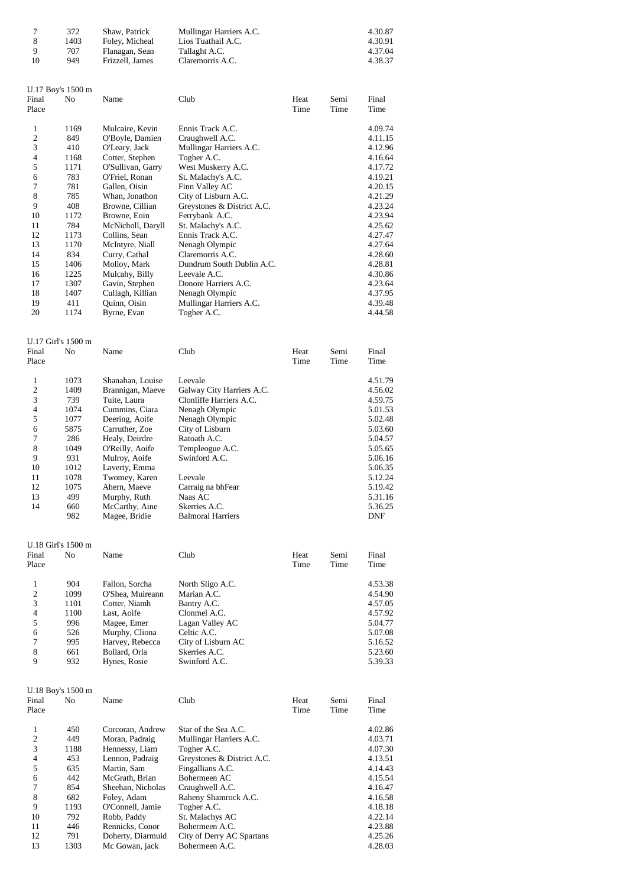|    | 372  | Shaw, Patrick   | Mullingar Harriers A.C. | 4.30.87 |
|----|------|-----------------|-------------------------|---------|
|    | 1403 | Foley, Micheal  | Lios Tuathail A.C.      | 4.30.91 |
|    | 707  | Flanagan, Sean  | Tallaght A.C.           | 4.37.04 |
| 10 | 949  | Frizzell, James | Claremorris A.C.        | 4.38.37 |

|                                                                                                                    | U.17 Boy's 1500 m                                                                                                                           |                                                                                                                                                                                                                                                                                                                                                       |                                                                                                                                                                                                                                                                                                                                                                                                                       |              |              |                                                                                                                                                                                                               |
|--------------------------------------------------------------------------------------------------------------------|---------------------------------------------------------------------------------------------------------------------------------------------|-------------------------------------------------------------------------------------------------------------------------------------------------------------------------------------------------------------------------------------------------------------------------------------------------------------------------------------------------------|-----------------------------------------------------------------------------------------------------------------------------------------------------------------------------------------------------------------------------------------------------------------------------------------------------------------------------------------------------------------------------------------------------------------------|--------------|--------------|---------------------------------------------------------------------------------------------------------------------------------------------------------------------------------------------------------------|
| Final<br>Place                                                                                                     | No                                                                                                                                          | Name                                                                                                                                                                                                                                                                                                                                                  | Club                                                                                                                                                                                                                                                                                                                                                                                                                  | Heat<br>Time | Semi<br>Time | Final<br>Time                                                                                                                                                                                                 |
| 1<br>$\mathfrak{2}$<br>3<br>4<br>5<br>6<br>7<br>8<br>9<br>10<br>11<br>12<br>13<br>14<br>15<br>16<br>17<br>18<br>19 | 1169<br>849<br>410<br>1168<br>1171<br>783<br>781<br>785<br>408<br>1172<br>784<br>1173<br>1170<br>834<br>1406<br>1225<br>1307<br>1407<br>411 | Mulcaire, Kevin<br>O'Boyle, Damien<br>O'Leary, Jack<br>Cotter, Stephen<br>O'Sullivan, Garry<br>O'Friel, Ronan<br>Gallen, Oisin<br>Whan, Jonathon<br>Browne, Cillian<br>Browne, Eoin<br>McNicholl, Daryll<br>Collins, Sean<br>McIntyre, Niall<br>Curry, Cathal<br>Molloy, Mark<br>Mulcahy, Billy<br>Gavin, Stephen<br>Cullagh, Killian<br>Quinn, Oisin | Ennis Track A.C.<br>Craughwell A.C.<br>Mullingar Harriers A.C.<br>Togher A.C.<br>West Muskerry A.C.<br>St. Malachy's A.C.<br>Finn Valley AC<br>City of Lisburn A.C.<br>Greystones & District A.C.<br>Ferrybank A.C.<br>St. Malachy's A.C.<br>Ennis Track A.C.<br>Nenagh Olympic<br>Claremorris A.C.<br>Dundrum South Dublin A.C.<br>Leevale A.C.<br>Donore Harriers A.C.<br>Nenagh Olympic<br>Mullingar Harriers A.C. |              |              | 4.09.74<br>4.11.15<br>4.12.96<br>4.16.64<br>4.17.72<br>4.19.21<br>4.20.15<br>4.21.29<br>4.23.24<br>4.23.94<br>4.25.62<br>4.27.47<br>4.27.64<br>4.28.60<br>4.28.81<br>4.30.86<br>4.23.64<br>4.37.95<br>4.39.48 |
| 20                                                                                                                 | 1174                                                                                                                                        | Byrne, Evan                                                                                                                                                                                                                                                                                                                                           | Togher A.C.                                                                                                                                                                                                                                                                                                                                                                                                           |              |              | 4.44.58                                                                                                                                                                                                       |
| Final<br>Place                                                                                                     | U.17 Girl's 1500 m<br>No                                                                                                                    | Name                                                                                                                                                                                                                                                                                                                                                  | Club                                                                                                                                                                                                                                                                                                                                                                                                                  | Heat<br>Time | Semi<br>Time | Final<br>Time                                                                                                                                                                                                 |
| $\mathbf{1}$<br>$\mathfrak{2}$<br>3<br>4<br>5<br>6<br>7<br>8<br>9<br>10<br>11<br>12<br>13<br>14                    | 1073<br>1409<br>739<br>1074<br>1077<br>5875<br>286<br>1049<br>931<br>1012<br>1078<br>1075<br>499<br>660<br>982                              | Shanahan, Louise<br>Brannigan, Maeve<br>Tuite, Laura<br>Cummins, Ciara<br>Deering, Aoife<br>Carruther, Zoe<br>Healy, Deirdre<br>O'Reilly, Aoife<br>Mulroy, Aoife<br>Laverty, Emma<br>Twomey, Karen<br>Ahern, Maeve<br>Murphy, Ruth<br>McCarthy, Aine<br>Magee, Bridie                                                                                 | Leevale<br>Galway City Harriers A.C.<br>Clonliffe Harriers A.C.<br>Nenagh Olympic<br>Nenagh Olympic<br>City of Lisburn<br>Ratoath A.C.<br>Templeogue A.C.<br>Swinford A.C.<br>Leevale<br>Carraig na bhFear<br>Naas AC<br>Skerries A.C.<br><b>Balmoral Harriers</b>                                                                                                                                                    |              |              | 4.51.79<br>4.56.02<br>4.59.75<br>5.01.53<br>5.02.48<br>5.03.60<br>5.04.57<br>5.05.65<br>5.06.16<br>5.06.35<br>5.12.24<br>5.19.42<br>5.31.16<br>5.36.25<br>DNF                                                 |
| Final<br>Place                                                                                                     | U.18 Girl's 1500 m<br>No                                                                                                                    | Name                                                                                                                                                                                                                                                                                                                                                  | Club                                                                                                                                                                                                                                                                                                                                                                                                                  | Heat<br>Time | Semi<br>Time | Final<br>Time                                                                                                                                                                                                 |
| $\mathbf{1}$<br>$\boldsymbol{2}$<br>3<br>$\overline{\mathcal{A}}$<br>5<br>6<br>7<br>8<br>9                         | 904<br>1099<br>1101<br>1100<br>996<br>526<br>995<br>661<br>932                                                                              | Fallon, Sorcha<br>O'Shea, Muireann<br>Cotter, Niamh<br>Last, Aoife<br>Magee, Emer<br>Murphy, Cliona<br>Harvey, Rebecca<br>Bollard, Orla<br>Hynes, Rosie                                                                                                                                                                                               | North Sligo A.C.<br>Marian A.C.<br>Bantry A.C.<br>Clonmel A.C.<br>Lagan Valley AC<br>Celtic A.C.<br>City of Lisburn AC<br>Skerries A.C.<br>Swinford A.C.                                                                                                                                                                                                                                                              |              |              | 4.53.38<br>4.54.90<br>4.57.05<br>4.57.92<br>5.04.77<br>5.07.08<br>5.16.52<br>5.23.60<br>5.39.33                                                                                                               |
| Final<br>Place                                                                                                     | U.18 Boy's 1500 m<br>No                                                                                                                     | Name                                                                                                                                                                                                                                                                                                                                                  | Club                                                                                                                                                                                                                                                                                                                                                                                                                  | Heat<br>Time | Semi<br>Time | Final<br>Time                                                                                                                                                                                                 |
| $\mathbf{1}$<br>$\boldsymbol{2}$<br>3<br>4<br>5<br>6<br>$\tau$<br>8<br>9<br>10<br>11<br>12<br>13                   | 450<br>449<br>1188<br>453<br>635<br>442<br>854<br>682<br>1193<br>792<br>446<br>791<br>1303                                                  | Corcoran, Andrew<br>Moran, Padraig<br>Hennessy, Liam<br>Lennon, Padraig<br>Martin, Sam<br>McGrath, Brian<br>Sheehan, Nicholas<br>Foley, Adam<br>O'Connell, Jamie<br>Robb, Paddy<br>Rennicks, Conor<br>Doherty, Diarmuid<br>Mc Gowan, jack                                                                                                             | Star of the Sea A.C.<br>Mullingar Harriers A.C.<br>Togher A.C.<br>Greystones & District A.C.<br>Fingallians A.C.<br>Bohermeen AC<br>Craughwell A.C.<br>Raheny Shamrock A.C.<br>Togher A.C.<br>St. Malachys AC<br>Bohermeen A.C.<br>City of Derry AC Spartans<br>Bohermeen A.C.                                                                                                                                        |              |              | 4.02.86<br>4.03.71<br>4.07.30<br>4.13.51<br>4.14.43<br>4.15.54<br>4.16.47<br>4.16.58<br>4.18.18<br>4.22.14<br>4.23.88<br>4.25.26<br>4.28.03                                                                   |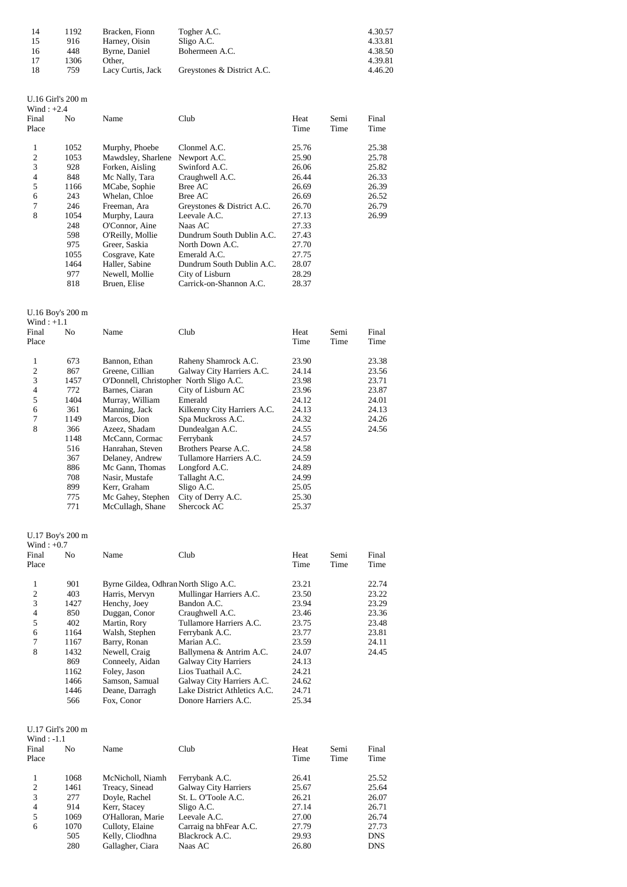| 4.30.57 |
|---------|
| 4.33.81 |
| 4.38.50 |
| 4.39.81 |
| 4.46.20 |
|         |

## U.16 Girl's 200 m Wind : +2.4

| No   | Name               | Club                       | Heat<br>Time | Semi<br>Time | Final<br>Time |
|------|--------------------|----------------------------|--------------|--------------|---------------|
| 1052 | Murphy, Phoebe     | Clonmel A.C.               | 25.76        |              | 25.38         |
| 1053 | Mawdsley, Sharlene | Newport A.C.               | 25.90        |              | 25.78         |
| 928  | Forken, Aisling    | Swinford A.C.              | 26.06        |              | 25.82         |
| 848  | Mc Nally, Tara     | Craughwell A.C.            | 26.44        |              | 26.33         |
| 1166 | MCabe, Sophie      | Bree AC                    | 26.69        |              | 26.39         |
| 243  | Whelan, Chloe      | Bree AC                    | 26.69        |              | 26.52         |
| 246  | Freeman, Ara       | Greystones & District A.C. | 26.70        |              | 26.79         |
| 1054 | Murphy, Laura      | Leevale A.C.               | 27.13        |              | 26.99         |
| 248  | O'Connor, Aine     | Naas AC                    | 27.33        |              |               |
| 598  | O'Reilly, Mollie   | Dundrum South Dublin A.C.  | 27.43        |              |               |
| 975  | Greer, Saskia      | North Down A.C.            | 27.70        |              |               |
| 1055 | Cosgrave, Kate     | Emerald A.C.               | 27.75        |              |               |
| 1464 | Haller, Sabine     | Dundrum South Dublin A.C.  | 28.07        |              |               |
| 977  | Newell, Mollie     | City of Lisburn            | 28.29        |              |               |
| 818  | Bruen, Elise       | Carrick-on-Shannon A.C.    | 28.37        |              |               |
|      |                    |                            |              |              |               |

## U.16 Boy's 200 m

| Wind : $+1.1$  |      |                                         |                             |       |      |       |
|----------------|------|-----------------------------------------|-----------------------------|-------|------|-------|
| Final          | No   | Name                                    | Club                        | Heat  | Semi | Final |
| Place          |      |                                         |                             | Time  | Time | Time  |
| 1              | 673  | Bannon, Ethan                           | Raheny Shamrock A.C.        | 23.90 |      | 23.38 |
| $\overline{2}$ | 867  | Greene, Cillian                         | Galway City Harriers A.C.   | 24.14 |      | 23.56 |
| 3              | 1457 | O'Donnell, Christopher North Sligo A.C. |                             | 23.98 |      | 23.71 |
| $\overline{4}$ | 772  | Barnes, Ciaran                          | City of Lisburn AC          | 23.96 |      | 23.87 |
| 5              | 1404 | Murray, William                         | Emerald                     | 24.12 |      | 24.01 |
| 6              | 361  | Manning, Jack                           | Kilkenny City Harriers A.C. | 24.13 |      | 24.13 |
| 7              | 1149 | Marcos, Dion                            | Spa Muckross A.C.           | 24.32 |      | 24.26 |
| 8              | 366  | Azeez, Shadam                           | Dundealgan A.C.             | 24.55 |      | 24.56 |
|                | 1148 | McCann, Cormac                          | Ferrybank                   | 24.57 |      |       |
|                | 516  | Hanrahan, Steven                        | Brothers Pearse A.C.        | 24.58 |      |       |
|                | 367  | Delaney, Andrew                         | Tullamore Harriers A.C.     | 24.59 |      |       |
|                | 886  | Mc Gann, Thomas                         | Longford A.C.               | 24.89 |      |       |
|                | 708  | Nasir, Mustafe                          | Tallaght A.C.               | 24.99 |      |       |
|                | 899  | Kerr, Graham                            | Sligo A.C.                  | 25.05 |      |       |
|                | 775  | Mc Gahey, Stephen                       | City of Derry A.C.          | 25.30 |      |       |
|                | 771  | McCullagh, Shane                        | Shercock AC                 | 25.37 |      |       |

| U.17 Boy's 200 m |  |
|------------------|--|
| Wind: $+0.7$     |  |

|                | U.17 Boy's 200 m |                 |                                       |       |      |       |
|----------------|------------------|-----------------|---------------------------------------|-------|------|-------|
| Wind: $+0.7$   |                  |                 |                                       |       |      |       |
| Final          | No               | Name            | Club                                  | Heat  | Semi | Final |
| Place          |                  |                 |                                       | Time  | Time | Time  |
| 1              | 901              |                 | Byrne Gildea, Odhran North Sligo A.C. | 23.21 |      | 22.74 |
| $\overline{2}$ | 403              | Harris, Mervyn  | Mullingar Harriers A.C.               | 23.50 |      | 23.22 |
| 3              | 1427             | Henchy, Joey    | Bandon A.C.                           | 23.94 |      | 23.29 |
| $\overline{4}$ | 850              | Duggan, Conor   | Craughwell A.C.                       | 23.46 |      | 23.36 |
| 5              | 402              | Martin, Rory    | Tullamore Harriers A.C.               | 23.75 |      | 23.48 |
| 6              | 1164             | Walsh, Stephen  | Ferrybank A.C.                        | 23.77 |      | 23.81 |
| 7              | 1167             | Barry, Ronan    | Marian A.C.                           | 23.59 |      | 24.11 |
| 8              | 1432             | Newell, Craig   | Ballymena & Antrim A.C.               | 24.07 |      | 24.45 |
|                | 869              | Conneely, Aidan | <b>Galway City Harriers</b>           | 24.13 |      |       |
|                | 1162             | Foley, Jason    | Lios Tuathail A.C.                    | 24.21 |      |       |
|                | 1466             | Samson, Samual  | Galway City Harriers A.C.             | 24.62 |      |       |
|                | 1446             | Deane, Darragh  | Lake District Athletics A.C.          | 24.71 |      |       |
|                | 566              | Fox, Conor      | Donore Harriers A.C.                  | 25.34 |      |       |

U.17 Girl's 200 m

| Wind : $-1.1$  |      |                   |                        |       |      |            |
|----------------|------|-------------------|------------------------|-------|------|------------|
| Final          | No   | Name              | Club                   | Heat  | Semi | Final      |
| Place          |      |                   |                        | Time  | Time | Time       |
|                | 1068 | McNicholl, Niamh  | Ferrybank A.C.         | 26.41 |      | 25.52      |
| 2              | 1461 | Treacy, Sinead    | Galway City Harriers   | 25.67 |      | 25.64      |
| 3              | 277  | Doyle, Rachel     | St. L. O'Toole A.C.    | 26.21 |      | 26.07      |
| $\overline{4}$ | 914  | Kerr, Stacey      | Sligo A.C.             | 27.14 |      | 26.71      |
| 5              | 1069 | O'Halloran, Marie | Leevale A.C.           | 27.00 |      | 26.74      |
| 6              | 1070 | Culloty, Elaine   | Carraig na bhFear A.C. | 27.79 |      | 27.73      |
|                | 505  | Kelly, Cliodhna   | Blackrock A.C.         | 29.93 |      | <b>DNS</b> |
|                | 280  | Gallagher, Ciara  | Naas AC                | 26.80 |      | <b>DNS</b> |